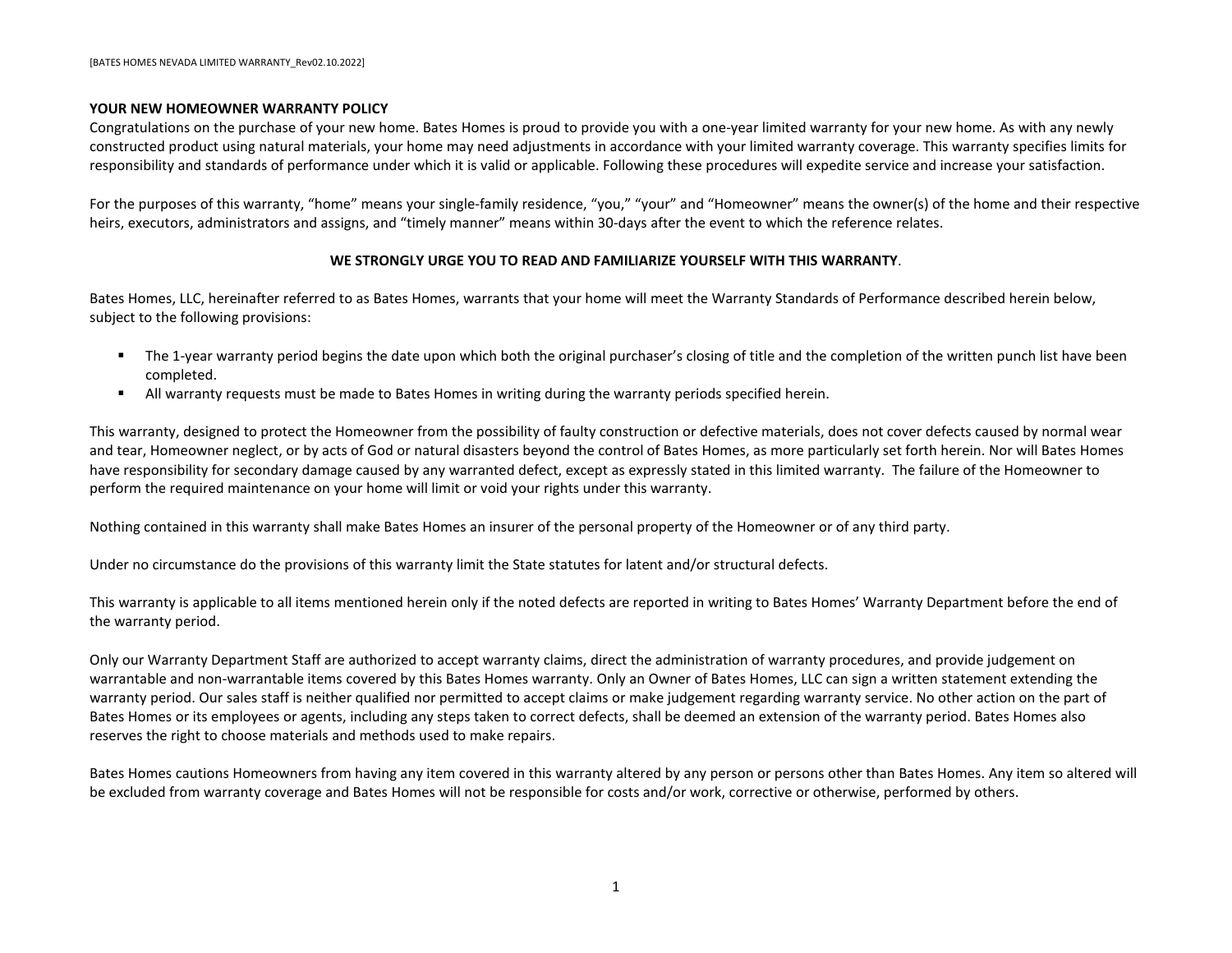

## **NEW HOMEOWNER WARRANTY POLICY**

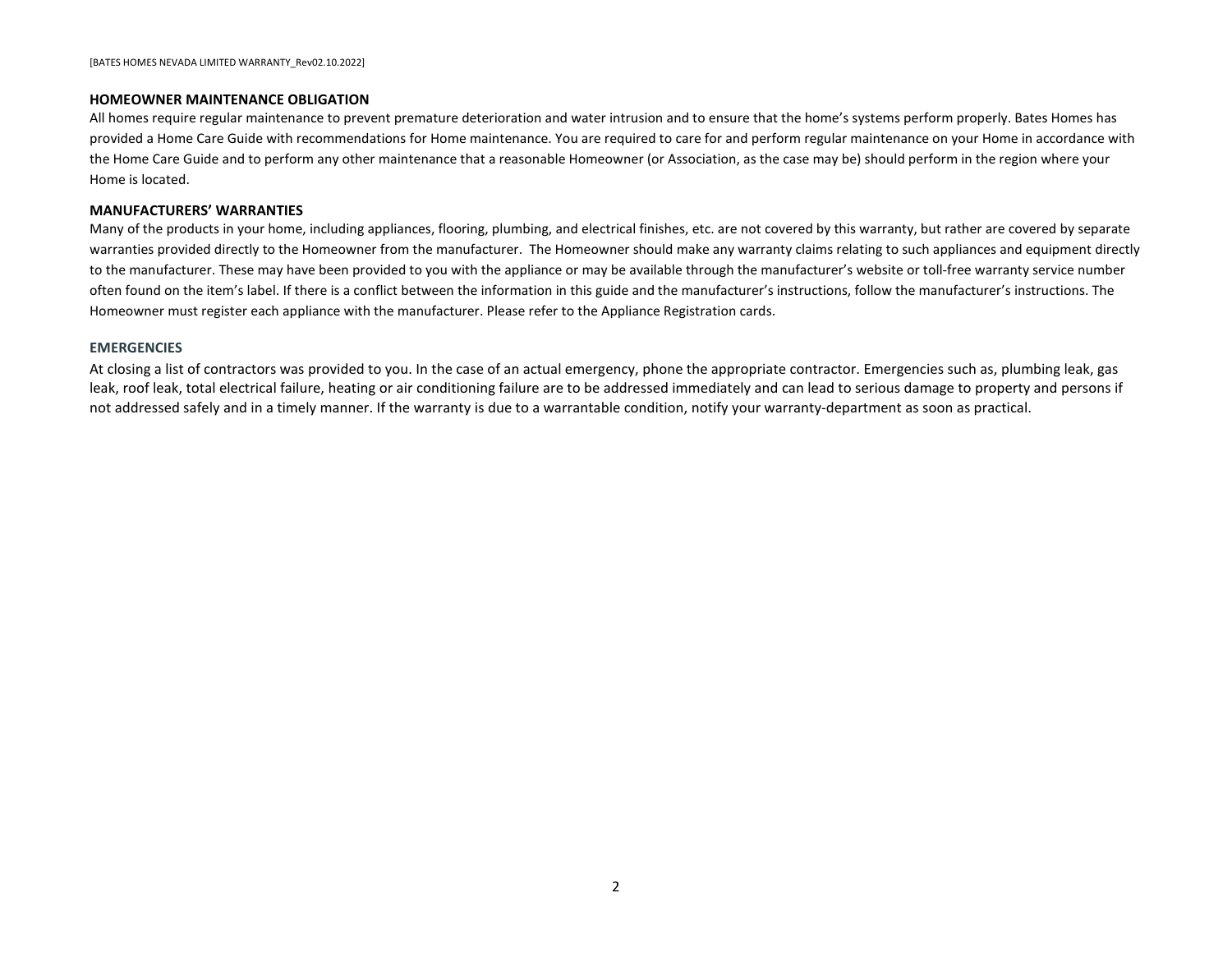#### <span id="page-1-0"></span>**YOUR NEW HOMEOWNER WARRANTY POLICY**

Congratulations on the purchase of your new home. Bates Homes is proud to provide you with a one-year limited warranty for your new home. As with any newly constructed product using natural materials, your home may need adjustments in accordance with your limited warranty coverage. This warranty specifies limits for responsibility and standards of performance under which it is valid or applicable. Following these procedures will expedite service and increase your satisfaction.

For the purposes of this warranty, "home" means your single-family residence, "you," "your" and "Homeowner" means the owner(s) of the home and their respective heirs, executors, administrators and assigns, and "timely manner" means within 30-days after the event to which the reference relates.

#### **WE STRONGLY URGE YOU TO READ AND FAMILIARIZE YOURSELF WITH THIS WARRANTY**.

Bates Homes, LLC, hereinafter referred to as Bates Homes, warrants that your home will meet the Warranty Standards of Performance described herein below, subject to the following provisions:

- The 1-year warranty period begins the date upon which both the original purchaser's closing of title and the completion of the written punch list have been completed.
- All warranty requests must be made to Bates Homes in writing during the warranty periods specified herein.

This warranty, designed to protect the Homeowner from the possibility of faulty construction or defective materials, does not cover defects caused by normal wear and tear, Homeowner neglect, or by acts of God or natural disasters beyond the control of Bates Homes, as more particularly set forth herein. Nor will Bates Homes have responsibility for secondary damage caused by any warranted defect, except as expressly stated in this limited warranty. The failure of the Homeowner to perform the required maintenance on your home will limit or void your rights under this warranty.

Nothing contained in this warranty shall make Bates Homes an insurer of the personal property of the Homeowner or of any third party.

Under no circumstance do the provisions of this warranty limit the State statutes for latent and/or structural defects.

This warranty is applicable to all items mentioned herein only if the noted defects are reported in writing to Bates Homes' Warranty Department before the end of the warranty period.

Only our Warranty Department Staff are authorized to accept warranty claims, direct the administration of warranty procedures, and provide judgement on warrantable and non-warrantable items covered by this Bates Homes warranty. Only an Owner of Bates Homes, LLC can sign a written statement extending the warranty period. Our sales staff is neither qualified nor permitted to accept claims or make judgement regarding warranty service. No other action on the part of Bates Homes or its employees or agents, including any steps taken to correct defects, shall be deemed an extension of the warranty period. Bates Homes also reserves the right to choose materials and methods used to make repairs.

Bates Homes cautions Homeowners from having any item covered in this warranty altered by any person or persons other than Bates Homes. Any item so altered will be excluded from warranty coverage and Bates Homes will not be responsible for costs and/or work, corrective or otherwise, performed by others.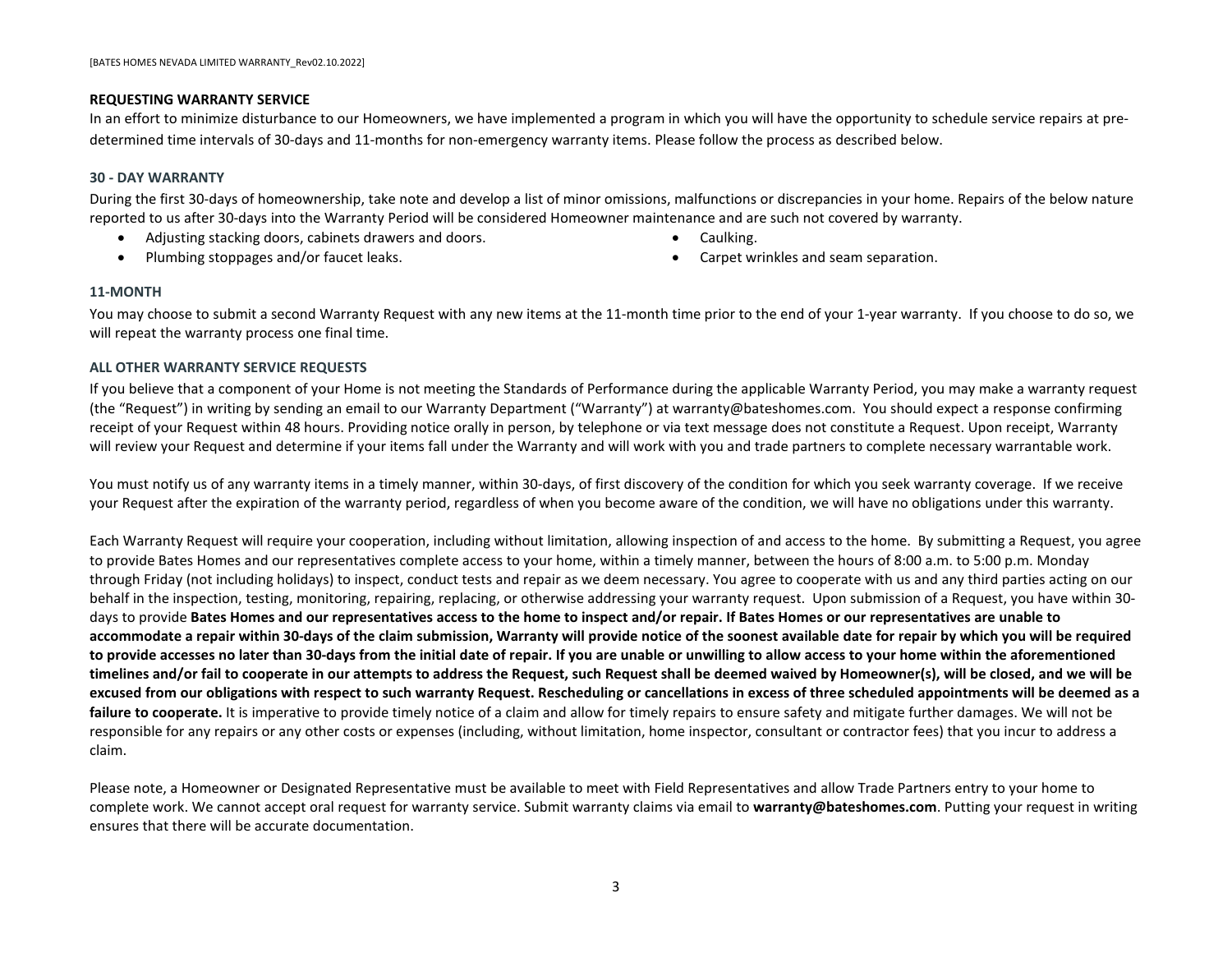#### <span id="page-2-0"></span>**HOMEOWNER MAINTENANCE OBLIGATION**

All homes require regular maintenance to prevent premature deterioration and water intrusion and to ensure that the home's systems perform properly. Bates Homes has provided a Home Care Guide with recommendations for Home maintenance. You are required to care for and perform regular maintenance on your Home in accordance with the Home Care Guide and to perform any other maintenance that a reasonable Homeowner (or Association, as the case may be) should perform in the region where your Home is located.

#### <span id="page-2-1"></span>**MANUFACTURERS' WARRANTIES**

Many of the products in your home, including appliances, flooring, plumbing, and electrical finishes, etc. are not covered by this warranty, but rather are covered by separate warranties provided directly to the Homeowner from the manufacturer. The Homeowner should make any warranty claims relating to such appliances and equipment directly to the manufacturer. These may have been provided to you with the appliance or may be available through the manufacturer's website or toll-free warranty service number often found on the item's label. If there is a conflict between the information in this guide and the manufacturer's instructions, follow the manufacturer's instructions. The Homeowner must register each appliance with the manufacturer. Please refer to the Appliance Registration cards.

#### **EMERGENCIES**

At closing a list of contractors was provided to you. In the case of an actual emergency, phone the appropriate contractor. Emergencies such as, plumbing leak, gas leak, roof leak, total electrical failure, heating or air conditioning failure are to be addressed immediately and can lead to serious damage to property and persons if not addressed safely and in a timely manner. If the warranty is due to a warrantable condition, notify your warranty-department as soon as practical.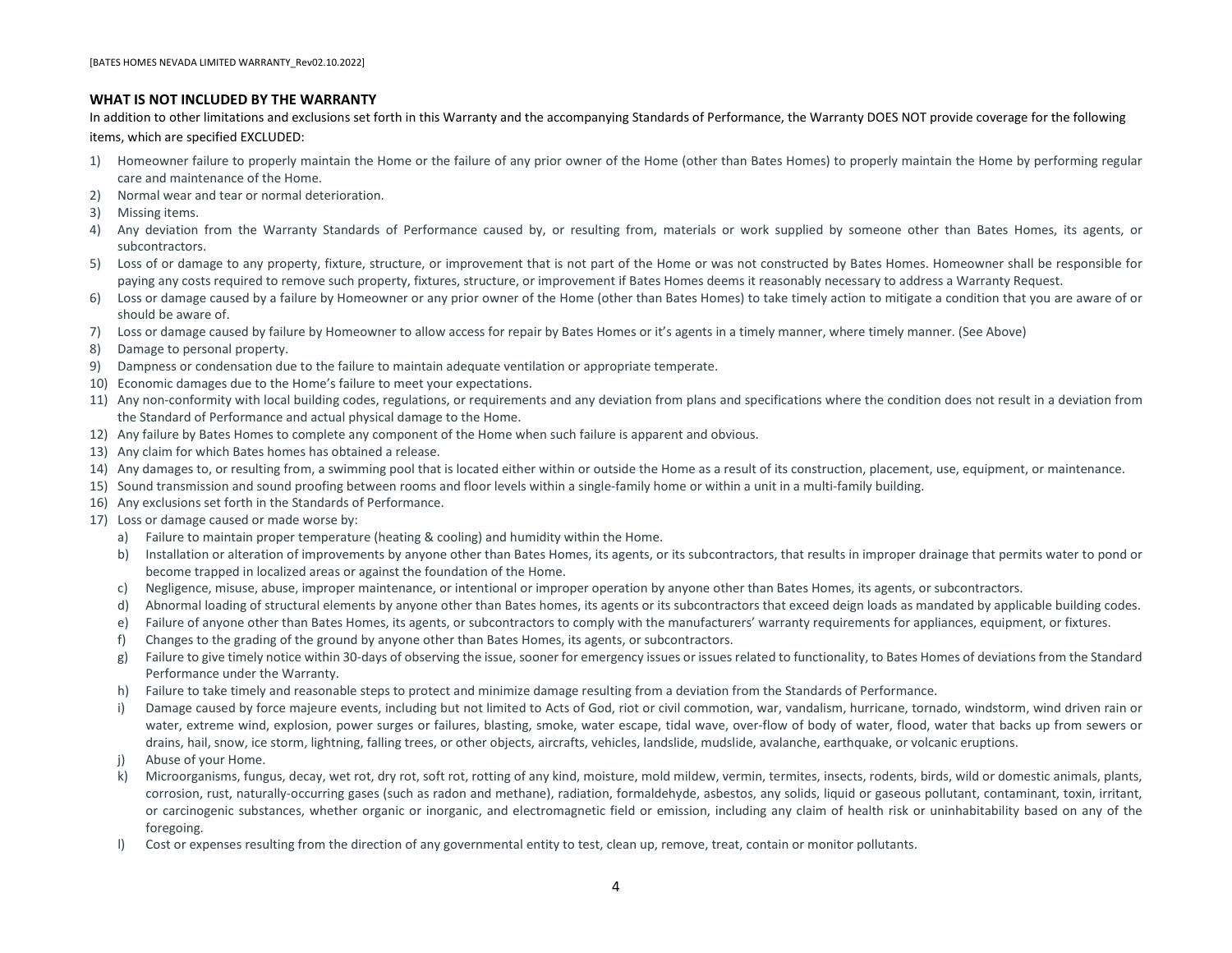#### <span id="page-3-0"></span>**REQUESTING WARRANTY SERVICE**

In an effort to minimize disturbance to our Homeowners, we have implemented a program in which you will have the opportunity to schedule service repairs at predetermined time intervals of 30-days and 11-months for non-emergency warranty items. Please follow the process as described below.

#### **30 - DAY WARRANTY**

During the first 30-days of homeownership, take note and develop a list of minor omissions, malfunctions or discrepancies in your home. Repairs of the below nature reported to us after 30-days into the Warranty Period will be considered Homeowner maintenance and are such not covered by warranty.

- Adjusting stacking doors, cabinets drawers and doors.
- Plumbing stoppages and/or faucet leaks.
- Caulking.
- Carpet wrinkles and seam separation.

#### **11-MONTH**

You may choose to submit a second Warranty Request with any new items at the 11-month time prior to the end of your 1-year warranty. If you choose to do so, we will repeat the warranty process one final time.

#### **ALL OTHER WARRANTY SERVICE REQUESTS**

If you believe that a component of your Home is not meeting the Standards of Performance during the applicable Warranty Period, you may make a warranty request (the "Request") in writing by sending an email to our Warranty Department ("Warranty") at warranty@bateshomes.com. You should expect a response confirming receipt of your Request within 48 hours. Providing notice orally in person, by telephone or via text message does not constitute a Request. Upon receipt, Warranty will review your Request and determine if your items fall under the Warranty and will work with you and trade partners to complete necessary warrantable work.

You must notify us of any warranty items in a timely manner, within 30-days, of first discovery of the condition for which you seek warranty coverage. If we receive your Request after the expiration of the warranty period, regardless of when you become aware of the condition, we will have no obligations under this warranty.

Each Warranty Request will require your cooperation, including without limitation, allowing inspection of and access to the home. By submitting a Request, you agree to provide Bates Homes and our representatives complete access to your home, within a timely manner, between the hours of 8:00 a.m. to 5:00 p.m. Monday through Friday (not including holidays) to inspect, conduct tests and repair as we deem necessary. You agree to cooperate with us and any third parties acting on our behalf in the inspection, testing, monitoring, repairing, replacing, or otherwise addressing your warranty request. Upon submission of a Request, you have within 30 days to provide **Bates Homes and our representatives access to the home to inspect and/or repair. If Bates Homes or our representatives are unable to accommodate a repair within 30-days of the claim submission, Warranty will provide notice of the soonest available date for repair by which you will be required to provide accesses no later than 30-days from the initial date of repair. If you are unable or unwilling to allow access to your home within the aforementioned timelines and/or fail to cooperate in our attempts to address the Request, such Request shall be deemed waived by Homeowner(s), will be closed, and we will be excused from our obligations with respect to such warranty Request. Rescheduling or cancellations in excess of three scheduled appointments will be deemed as a**  failure to cooperate. It is imperative to provide timely notice of a claim and allow for timely repairs to ensure safety and mitigate further damages. We will not be responsible for any repairs or any other costs or expenses (including, without limitation, home inspector, consultant or contractor fees) that you incur to address a claim.

Please note, a Homeowner or Designated Representative must be available to meet with Field Representatives and allow Trade Partners entry to your home to complete work. We cannot accept oral request for warranty service. Submit warranty claims via email to **warranty@bateshomes.com**. Putting your request in writing ensures that there will be accurate documentation.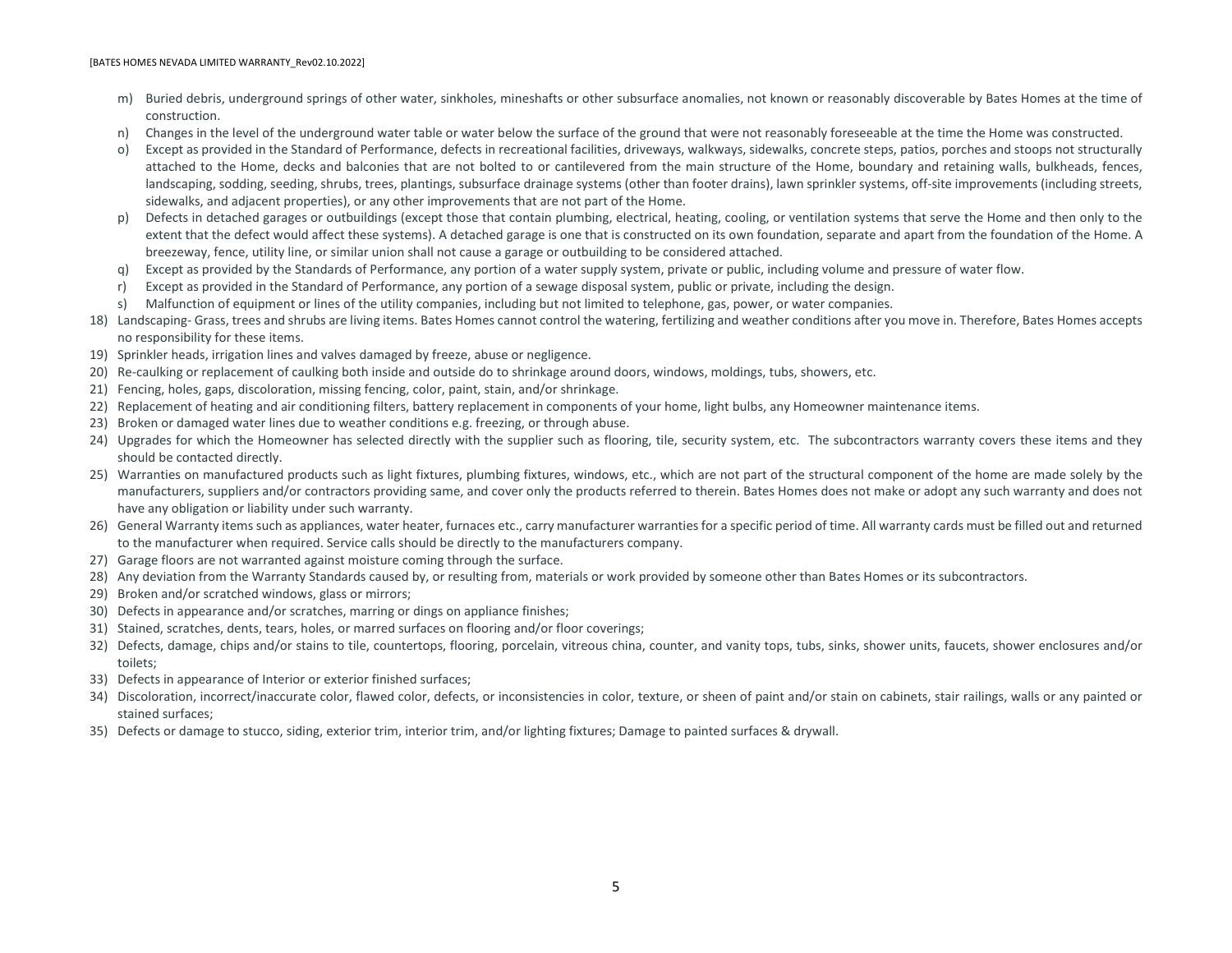#### <span id="page-4-0"></span>**WHAT IS NOT INCLUDED BY THE WARRANTY**

In addition to other limitations and exclusions set forth in this Warranty and the accompanying Standards of Performance, the Warranty DOES NOT provide coverage for the following items, which are specified EXCLUDED:

- 1) Homeowner failure to properly maintain the Home or the failure of any prior owner of the Home (other than Bates Homes) to properly maintain the Home by performing regular care and maintenance of the Home.
- 2) Normal wear and tear or normal deterioration.
- 3) Missing items.
- 4) Any deviation from the Warranty Standards of Performance caused by, or resulting from, materials or work supplied by someone other than Bates Homes, its agents, or subcontractors.
- 5) Loss of or damage to any property, fixture, structure, or improvement that is not part of the Home or was not constructed by Bates Homes. Homeowner shall be responsible for paying any costs required to remove such property, fixtures, structure, or improvement if Bates Homes deems it reasonably necessary to address a Warranty Request.
- 6) Loss or damage caused by a failure by Homeowner or any prior owner of the Home (other than Bates Homes) to take timely action to mitigate a condition that you are aware of or should be aware of.
- 7) Loss or damage caused by failure by Homeowner to allow access for repair by Bates Homes or it's agents in a timely manner, where timely manner. (See Above)
- 8) Damage to personal property.
- 9) Dampness or condensation due to the failure to maintain adequate ventilation or appropriate temperate.
- 10) Economic damages due to the Home's failure to meet your expectations.
- 11) Any non-conformity with local building codes, regulations, or requirements and any deviation from plans and specifications where the condition does not result in a deviation from the Standard of Performance and actual physical damage to the Home.
- 12) Any failure by Bates Homes to complete any component of the Home when such failure is apparent and obvious.
- 13) Any claim for which Bates homes has obtained a release.
- 14) Any damages to, or resulting from, a swimming pool that is located either within or outside the Home as a result of its construction, placement, use, equipment, or maintenance.
- 15) Sound transmission and sound proofing between rooms and floor levels within a single-family home or within a unit in a multi-family building.
- 16) Any exclusions set forth in the Standards of Performance.
- 17) Loss or damage caused or made worse by:
	- a) Failure to maintain proper temperature (heating & cooling) and humidity within the Home.
	- b) Installation or alteration of improvements by anyone other than Bates Homes, its agents, or its subcontractors, that results in improper drainage that permits water to pond or become trapped in localized areas or against the foundation of the Home.
	- c) Negligence, misuse, abuse, improper maintenance, or intentional or improper operation by anyone other than Bates Homes, its agents, or subcontractors.
	- d) Abnormal loading of structural elements by anyone other than Bates homes, its agents or its subcontractors that exceed deign loads as mandated by applicable building codes.
	- e) Failure of anyone other than Bates Homes, its agents, or subcontractors to comply with the manufacturers' warranty requirements for appliances, equipment, or fixtures.
	- f) Changes to the grading of the ground by anyone other than Bates Homes, its agents, or subcontractors.
	- g) Failure to give timely notice within 30-days of observing the issue, sooner for emergency issues or issues related to functionality, to Bates Homes of deviations from the Standard Performance under the Warranty.
	- h) Failure to take timely and reasonable steps to protect and minimize damage resulting from a deviation from the Standards of Performance.
	- i) Damage caused by force majeure events, including but not limited to Acts of God, riot or civil commotion, war, vandalism, hurricane, tornado, windstorm, wind driven rain or water, extreme wind, explosion, power surges or failures, blasting, smoke, water escape, tidal wave, over-flow of body of water, flood, water that backs up from sewers or drains, hail, snow, ice storm, lightning, falling trees, or other objects, aircrafts, vehicles, landslide, mudslide, avalanche, earthquake, or volcanic eruptions.
	- j) Abuse of your Home.
	- k) Microorganisms, fungus, decay, wet rot, dry rot, soft rot, rotting of any kind, moisture, mold mildew, vermin, termites, insects, rodents, birds, wild or domestic animals, plants, corrosion, rust, naturally-occurring gases (such as radon and methane), radiation, formaldehyde, asbestos, any solids, liquid or gaseous pollutant, contaminant, toxin, irritant, or carcinogenic substances, whether organic or inorganic, and electromagnetic field or emission, including any claim of health risk or uninhabitability based on any of the foregoing.
	- l) Cost or expenses resulting from the direction of any governmental entity to test, clean up, remove, treat, contain or monitor pollutants.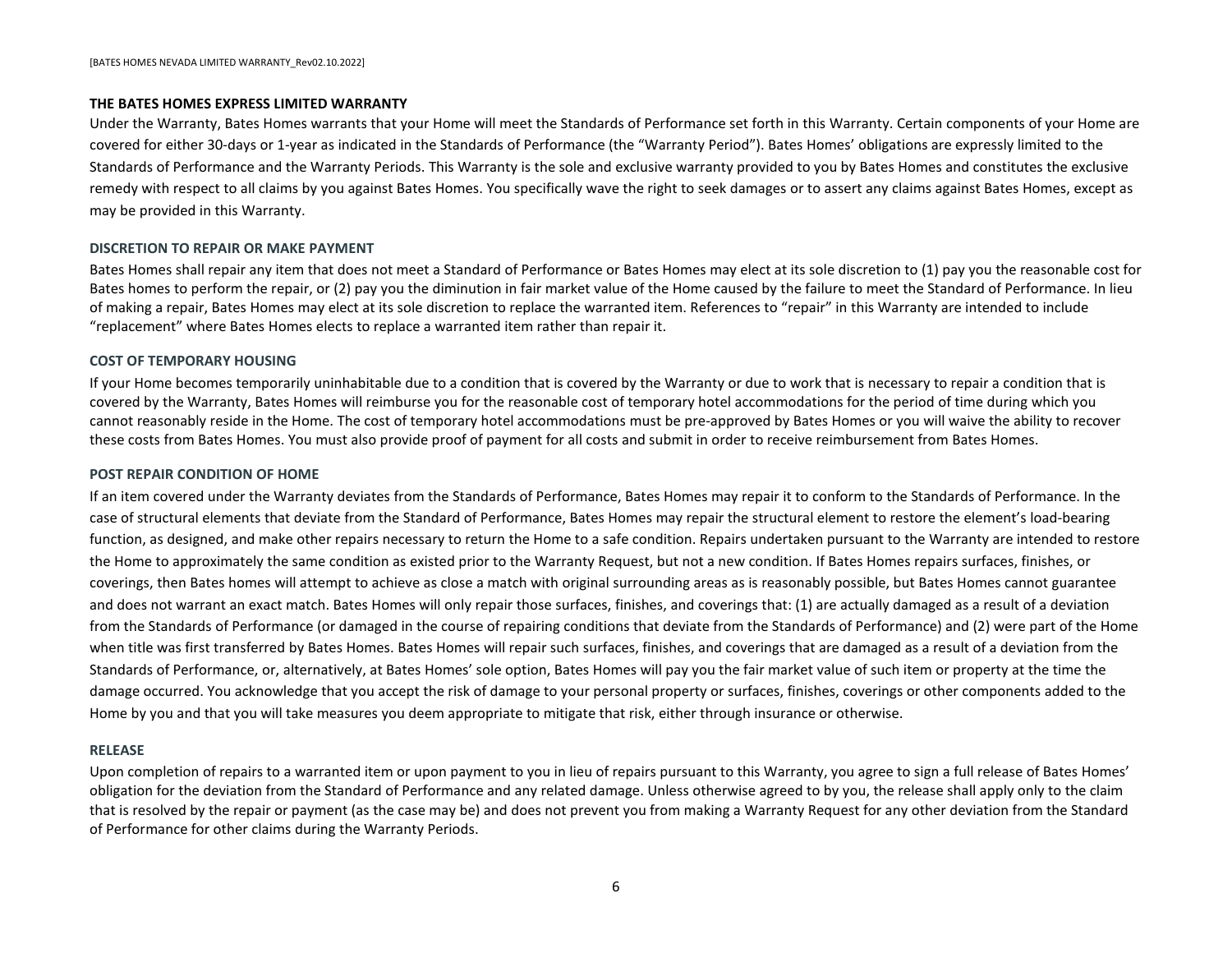#### [BATES HOMES NEVADA LIMITED WARRANTY\_Rev02.10.2022]

- m) Buried debris, underground springs of other water, sinkholes, mineshafts or other subsurface anomalies, not known or reasonably discoverable by Bates Homes at the time of construction.
- n) Changes in the level of the underground water table or water below the surface of the ground that were not reasonably foreseeable at the time the Home was constructed.
- o) Except as provided in the Standard of Performance, defects in recreational facilities, driveways, walkways, sidewalks, concrete steps, patios, porches and stoops not structurally attached to the Home, decks and balconies that are not bolted to or cantilevered from the main structure of the Home, boundary and retaining walls, bulkheads, fences, landscaping, sodding, seeding, shrubs, trees, plantings, subsurface drainage systems (other than footer drains), lawn sprinkler systems, off-site improvements (including streets, sidewalks, and adjacent properties), or any other improvements that are not part of the Home.
- p) Defects in detached garages or outbuildings (except those that contain plumbing, electrical, heating, cooling, or ventilation systems that serve the Home and then only to the extent that the defect would affect these systems). A detached garage is one that is constructed on its own foundation, separate and apart from the foundation of the Home. A breezeway, fence, utility line, or similar union shall not cause a garage or outbuilding to be considered attached.
- q) Except as provided by the Standards of Performance, any portion of a water supply system, private or public, including volume and pressure of water flow.
- r) Except as provided in the Standard of Performance, any portion of a sewage disposal system, public or private, including the design.
- s) Malfunction of equipment or lines of the utility companies, including but not limited to telephone, gas, power, or water companies.
- 18) Landscaping- Grass, trees and shrubs are living items. Bates Homes cannot control the watering, fertilizing and weather conditions after you move in. Therefore, Bates Homes accepts no responsibility for these items.
- 19) Sprinkler heads, irrigation lines and valves damaged by freeze, abuse or negligence.
- 20) Re-caulking or replacement of caulking both inside and outside do to shrinkage around doors, windows, moldings, tubs, showers, etc.
- 21) Fencing, holes, gaps, discoloration, missing fencing, color, paint, stain, and/or shrinkage.
- 22) Replacement of heating and air conditioning filters, battery replacement in components of your home, light bulbs, any Homeowner maintenance items.
- 23) Broken or damaged water lines due to weather conditions e.g. freezing, or through abuse.
- 24) Upgrades for which the Homeowner has selected directly with the supplier such as flooring, tile, security system, etc. The subcontractors warranty covers these items and they should be contacted directly.
- 25) Warranties on manufactured products such as light fixtures, plumbing fixtures, windows, etc., which are not part of the structural component of the home are made solely by the manufacturers, suppliers and/or contractors providing same, and cover only the products referred to therein. Bates Homes does not make or adopt any such warranty and does not have any obligation or liability under such warranty.
- 26) General Warranty items such as appliances, water heater, furnaces etc., carry manufacturer warranties for a specific period of time. All warranty cards must be filled out and returned to the manufacturer when required. Service calls should be directly to the manufacturers company.
- 27) Garage floors are not warranted against moisture coming through the surface.
- 28) Any deviation from the Warranty Standards caused by, or resulting from, materials or work provided by someone other than Bates Homes or its subcontractors.
- 29) Broken and/or scratched windows, glass or mirrors;
- 30) Defects in appearance and/or scratches, marring or dings on appliance finishes;
- 31) Stained, scratches, dents, tears, holes, or marred surfaces on flooring and/or floor coverings;
- 32) Defects, damage, chips and/or stains to tile, countertops, flooring, porcelain, vitreous china, counter, and vanity tops, tubs, sinks, shower units, faucets, shower enclosures and/or toilets;
- 33) Defects in appearance of Interior or exterior finished surfaces;
- 34) Discoloration, incorrect/inaccurate color, flawed color, defects, or inconsistencies in color, texture, or sheen of paint and/or stain on cabinets, stair railings, walls or any painted or stained surfaces;
- <span id="page-5-0"></span>35) Defects or damage to stucco, siding, exterior trim, interior trim, and/or lighting fixtures; Damage to painted surfaces & drywall.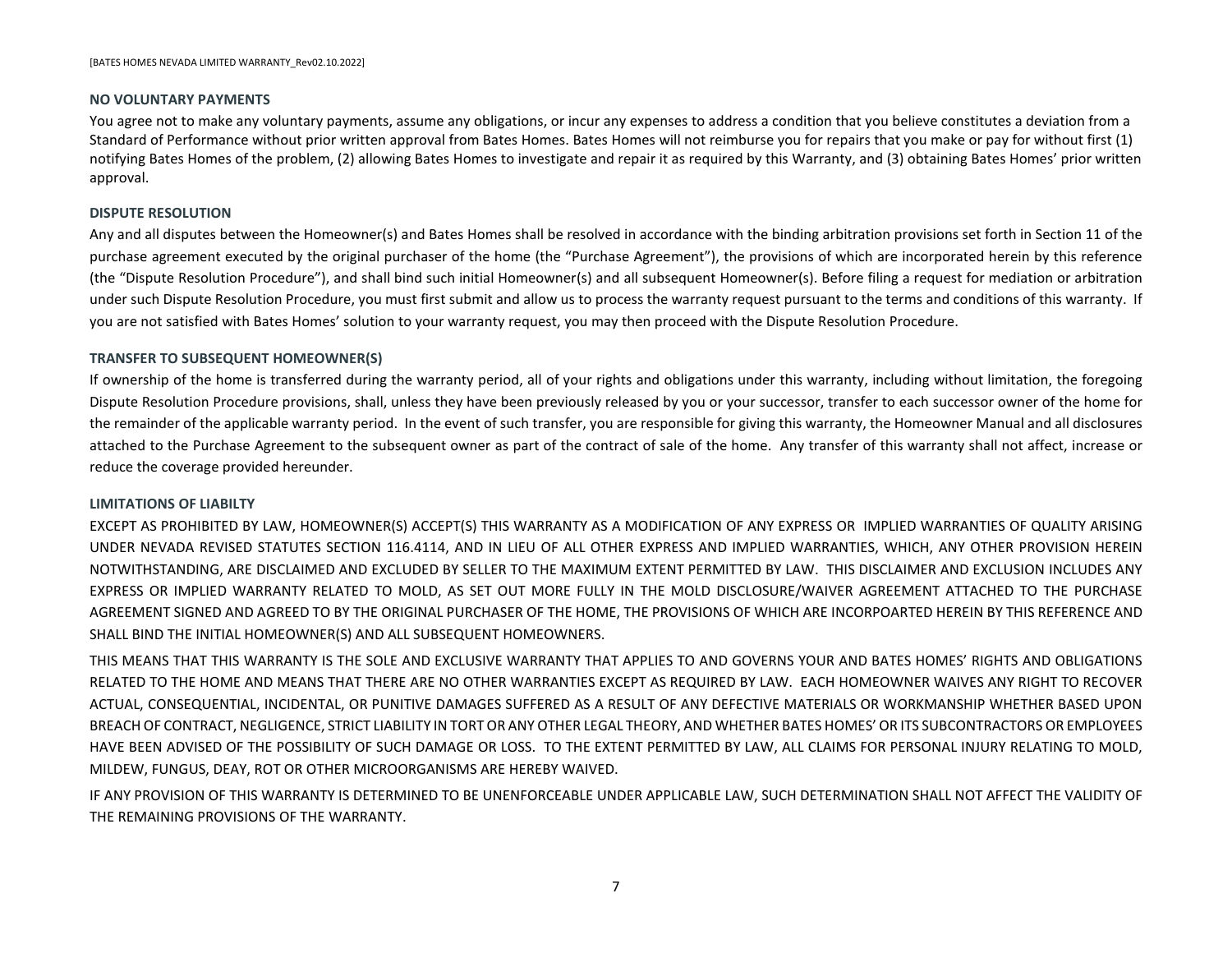#### **THE BATES HOMES EXPRESS LIMITED WARRANTY**

Under the Warranty, Bates Homes warrants that your Home will meet the Standards of Performance set forth in this Warranty. Certain components of your Home are covered for either 30-days or 1-year as indicated in the Standards of Performance (the "Warranty Period"). Bates Homes' obligations are expressly limited to the Standards of Performance and the Warranty Periods. This Warranty is the sole and exclusive warranty provided to you by Bates Homes and constitutes the exclusive remedy with respect to all claims by you against Bates Homes. You specifically wave the right to seek damages or to assert any claims against Bates Homes, except as may be provided in this Warranty.

#### **DISCRETION TO REPAIR OR MAKE PAYMENT**

Bates Homes shall repair any item that does not meet a Standard of Performance or Bates Homes may elect at its sole discretion to (1) pay you the reasonable cost for Bates homes to perform the repair, or (2) pay you the diminution in fair market value of the Home caused by the failure to meet the Standard of Performance. In lieu of making a repair, Bates Homes may elect at its sole discretion to replace the warranted item. References to "repair" in this Warranty are intended to include "replacement" where Bates Homes elects to replace a warranted item rather than repair it.

#### **COST OF TEMPORARY HOUSING**

If your Home becomes temporarily uninhabitable due to a condition that is covered by the Warranty or due to work that is necessary to repair a condition that is covered by the Warranty, Bates Homes will reimburse you for the reasonable cost of temporary hotel accommodations for the period of time during which you cannot reasonably reside in the Home. The cost of temporary hotel accommodations must be pre-approved by Bates Homes or you will waive the ability to recover these costs from Bates Homes. You must also provide proof of payment for all costs and submit in order to receive reimbursement from Bates Homes.

#### **POST REPAIR CONDITION OF HOME**

If an item covered under the Warranty deviates from the Standards of Performance, Bates Homes may repair it to conform to the Standards of Performance. In the case of structural elements that deviate from the Standard of Performance, Bates Homes may repair the structural element to restore the element's load-bearing function, as designed, and make other repairs necessary to return the Home to a safe condition. Repairs undertaken pursuant to the Warranty are intended to restore the Home to approximately the same condition as existed prior to the Warranty Request, but not a new condition. If Bates Homes repairs surfaces, finishes, or coverings, then Bates homes will attempt to achieve as close a match with original surrounding areas as is reasonably possible, but Bates Homes cannot guarantee and does not warrant an exact match. Bates Homes will only repair those surfaces, finishes, and coverings that: (1) are actually damaged as a result of a deviation from the Standards of Performance (or damaged in the course of repairing conditions that deviate from the Standards of Performance) and (2) were part of the Home when title was first transferred by Bates Homes. Bates Homes will repair such surfaces, finishes, and coverings that are damaged as a result of a deviation from the Standards of Performance, or, alternatively, at Bates Homes' sole option, Bates Homes will pay you the fair market value of such item or property at the time the damage occurred. You acknowledge that you accept the risk of damage to your personal property or surfaces, finishes, coverings or other components added to the Home by you and that you will take measures you deem appropriate to mitigate that risk, either through insurance or otherwise.

#### **RELEASE**

Upon completion of repairs to a warranted item or upon payment to you in lieu of repairs pursuant to this Warranty, you agree to sign a full release of Bates Homes' obligation for the deviation from the Standard of Performance and any related damage. Unless otherwise agreed to by you, the release shall apply only to the claim that is resolved by the repair or payment (as the case may be) and does not prevent you from making a Warranty Request for any other deviation from the Standard of Performance for other claims during the Warranty Periods.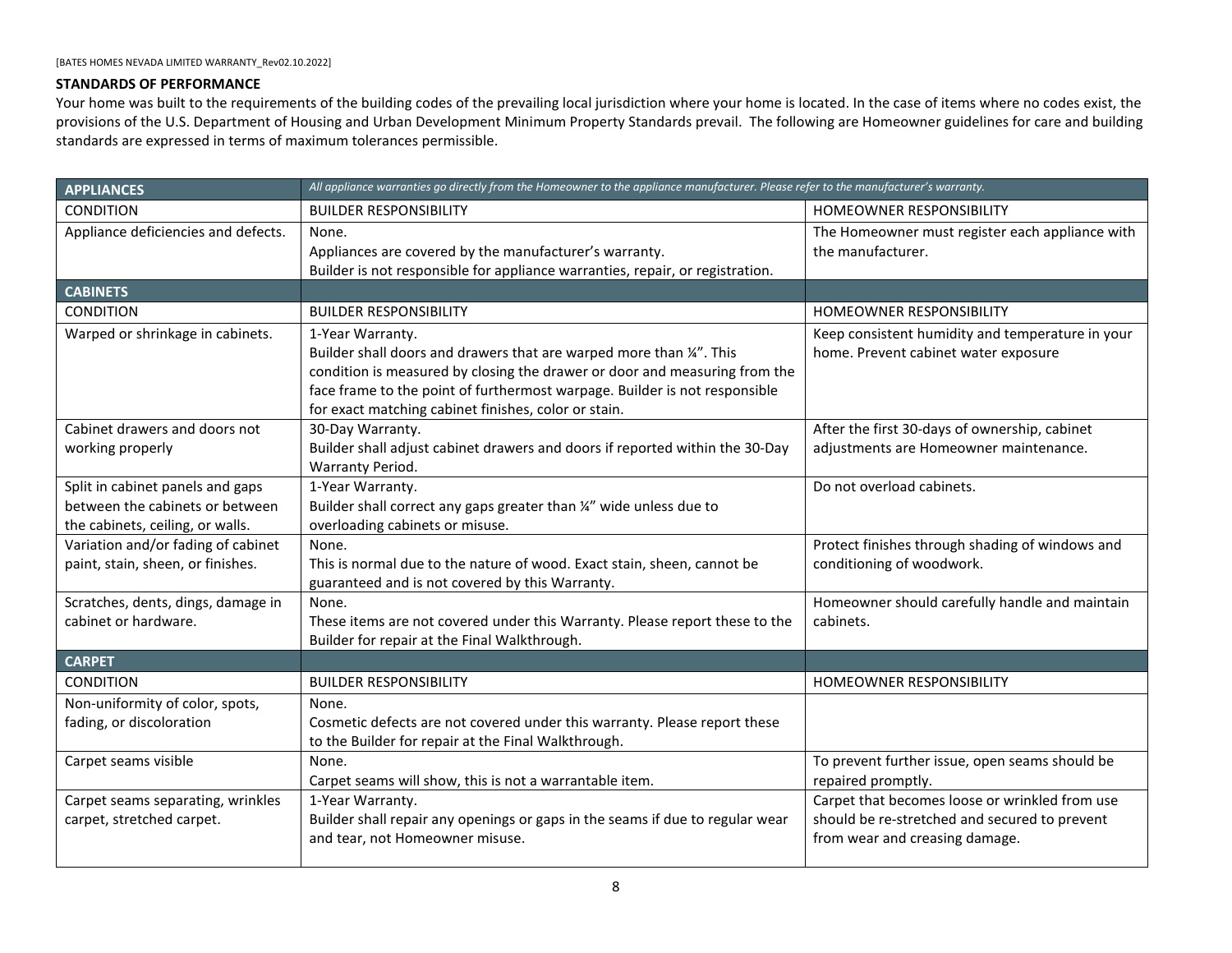#### **NO VOLUNTARY PAYMENTS**

You agree not to make any voluntary payments, assume any obligations, or incur any expenses to address a condition that you believe constitutes a deviation from a Standard of Performance without prior written approval from Bates Homes. Bates Homes will not reimburse you for repairs that you make or pay for without first (1) notifying Bates Homes of the problem, (2) allowing Bates Homes to investigate and repair it as required by this Warranty, and (3) obtaining Bates Homes' prior written approval.

#### **DISPUTE RESOLUTION**

Any and all disputes between the Homeowner(s) and Bates Homes shall be resolved in accordance with the binding arbitration provisions set forth in Section 11 of the purchase agreement executed by the original purchaser of the home (the "Purchase Agreement"), the provisions of which are incorporated herein by this reference (the "Dispute Resolution Procedure"), and shall bind such initial Homeowner(s) and all subsequent Homeowner(s). Before filing a request for mediation or arbitration under such Dispute Resolution Procedure, you must first submit and allow us to process the warranty request pursuant to the terms and conditions of this warranty. If you are not satisfied with Bates Homes' solution to your warranty request, you may then proceed with the Dispute Resolution Procedure.

#### **TRANSFER TO SUBSEQUENT HOMEOWNER(S)**

If ownership of the home is transferred during the warranty period, all of your rights and obligations under this warranty, including without limitation, the foregoing Dispute Resolution Procedure provisions, shall, unless they have been previously released by you or your successor, transfer to each successor owner of the home for the remainder of the applicable warranty period. In the event of such transfer, you are responsible for giving this warranty, the Homeowner Manual and all disclosures attached to the Purchase Agreement to the subsequent owner as part of the contract of sale of the home. Any transfer of this warranty shall not affect, increase or reduce the coverage provided hereunder.

#### **LIMITATIONS OF LIABILTY**

EXCEPT AS PROHIBITED BY LAW, HOMEOWNER(S) ACCEPT(S) THIS WARRANTY AS A MODIFICATION OF ANY EXPRESS OR IMPLIED WARRANTIES OF QUALITY ARISING UNDER NEVADA REVISED STATUTES SECTION 116.4114, AND IN LIEU OF ALL OTHER EXPRESS AND IMPLIED WARRANTIES, WHICH, ANY OTHER PROVISION HEREIN NOTWITHSTANDING, ARE DISCLAIMED AND EXCLUDED BY SELLER TO THE MAXIMUM EXTENT PERMITTED BY LAW. THIS DISCLAIMER AND EXCLUSION INCLUDES ANY EXPRESS OR IMPLIED WARRANTY RELATED TO MOLD, AS SET OUT MORE FULLY IN THE MOLD DISCLOSURE/WAIVER AGREEMENT ATTACHED TO THE PURCHASE AGREEMENT SIGNED AND AGREED TO BY THE ORIGINAL PURCHASER OF THE HOME, THE PROVISIONS OF WHICH ARE INCORPOARTED HEREIN BY THIS REFERENCE AND SHALL BIND THE INITIAL HOMEOWNER(S) AND ALL SUBSEQUENT HOMEOWNERS.

THIS MEANS THAT THIS WARRANTY IS THE SOLE AND EXCLUSIVE WARRANTY THAT APPLIES TO AND GOVERNS YOUR AND BATES HOMES' RIGHTS AND OBLIGATIONS RELATED TO THE HOME AND MEANS THAT THERE ARE NO OTHER WARRANTIES EXCEPT AS REQUIRED BY LAW. EACH HOMEOWNER WAIVES ANY RIGHT TO RECOVER ACTUAL, CONSEQUENTIAL, INCIDENTAL, OR PUNITIVE DAMAGES SUFFERED AS A RESULT OF ANY DEFECTIVE MATERIALS OR WORKMANSHIP WHETHER BASED UPON BREACH OF CONTRACT, NEGLIGENCE, STRICT LIABILITY IN TORT OR ANY OTHER LEGAL THEORY, AND WHETHER BATES HOMES' OR ITS SUBCONTRACTORS OR EMPLOYEES HAVE BEEN ADVISED OF THE POSSIBILITY OF SUCH DAMAGE OR LOSS. TO THE EXTENT PERMITTED BY LAW, ALL CLAIMS FOR PERSONAL INJURY RELATING TO MOLD, MILDEW, FUNGUS, DEAY, ROT OR OTHER MICROORGANISMS ARE HEREBY WAIVED.

IF ANY PROVISION OF THIS WARRANTY IS DETERMINED TO BE UNENFORCEABLE UNDER APPLICABLE LAW, SUCH DETERMINATION SHALL NOT AFFECT THE VALIDITY OF THE REMAINING PROVISIONS OF THE WARRANTY.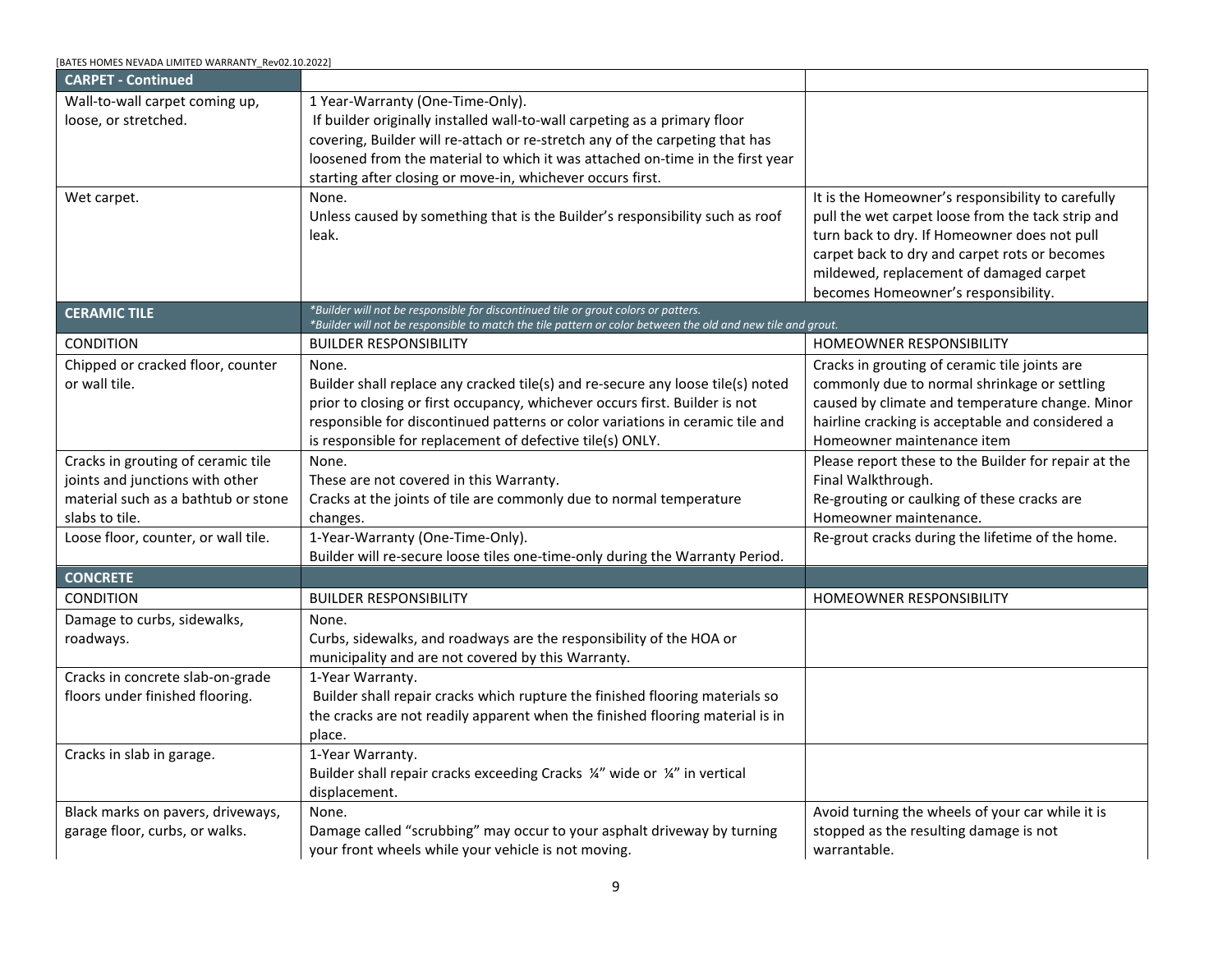### <span id="page-8-0"></span>**STANDARDS OF PERFORMANCE**

Your home was built to the requirements of the building codes of the prevailing local jurisdiction where your home is located. In the case of items where no codes exist, the provisions of the U.S. Department of Housing and Urban Development Minimum Property Standards prevail. The following are Homeowner guidelines for care and building standards are expressed in terms of maximum tolerances permissible.

<span id="page-8-3"></span><span id="page-8-2"></span><span id="page-8-1"></span>

| <b>APPLIANCES</b>                                                       | All appliance warranties go directly from the Homeowner to the appliance manufacturer. Please refer to the manufacturer's warranty.                                                                                                                                                                          |                                                                                                                                   |
|-------------------------------------------------------------------------|--------------------------------------------------------------------------------------------------------------------------------------------------------------------------------------------------------------------------------------------------------------------------------------------------------------|-----------------------------------------------------------------------------------------------------------------------------------|
| <b>CONDITION</b>                                                        | <b>BUILDER RESPONSIBILITY</b>                                                                                                                                                                                                                                                                                | HOMEOWNER RESPONSIBILITY                                                                                                          |
| Appliance deficiencies and defects.                                     | None.<br>Appliances are covered by the manufacturer's warranty.<br>Builder is not responsible for appliance warranties, repair, or registration.                                                                                                                                                             | The Homeowner must register each appliance with<br>the manufacturer.                                                              |
| <b>CABINETS</b>                                                         |                                                                                                                                                                                                                                                                                                              |                                                                                                                                   |
| <b>CONDITION</b>                                                        | <b>BUILDER RESPONSIBILITY</b>                                                                                                                                                                                                                                                                                | <b>HOMEOWNER RESPONSIBILITY</b>                                                                                                   |
| Warped or shrinkage in cabinets.                                        | 1-Year Warranty.<br>Builder shall doors and drawers that are warped more than 1/4". This<br>condition is measured by closing the drawer or door and measuring from the<br>face frame to the point of furthermost warpage. Builder is not responsible<br>for exact matching cabinet finishes, color or stain. | Keep consistent humidity and temperature in your<br>home. Prevent cabinet water exposure                                          |
| Cabinet drawers and doors not                                           | 30-Day Warranty.                                                                                                                                                                                                                                                                                             | After the first 30-days of ownership, cabinet                                                                                     |
| working properly                                                        | Builder shall adjust cabinet drawers and doors if reported within the 30-Day<br>Warranty Period.                                                                                                                                                                                                             | adjustments are Homeowner maintenance.                                                                                            |
| Split in cabinet panels and gaps                                        | 1-Year Warranty.                                                                                                                                                                                                                                                                                             | Do not overload cabinets.                                                                                                         |
| between the cabinets or between                                         | Builder shall correct any gaps greater than 1/4" wide unless due to                                                                                                                                                                                                                                          |                                                                                                                                   |
| the cabinets, ceiling, or walls.                                        | overloading cabinets or misuse.                                                                                                                                                                                                                                                                              |                                                                                                                                   |
| Variation and/or fading of cabinet<br>paint, stain, sheen, or finishes. | None.<br>This is normal due to the nature of wood. Exact stain, sheen, cannot be<br>guaranteed and is not covered by this Warranty.                                                                                                                                                                          | Protect finishes through shading of windows and<br>conditioning of woodwork.                                                      |
| Scratches, dents, dings, damage in                                      | None.                                                                                                                                                                                                                                                                                                        | Homeowner should carefully handle and maintain                                                                                    |
| cabinet or hardware.                                                    | These items are not covered under this Warranty. Please report these to the<br>Builder for repair at the Final Walkthrough.                                                                                                                                                                                  | cabinets.                                                                                                                         |
| <b>CARPET</b>                                                           |                                                                                                                                                                                                                                                                                                              |                                                                                                                                   |
| <b>CONDITION</b>                                                        | <b>BUILDER RESPONSIBILITY</b>                                                                                                                                                                                                                                                                                | <b>HOMEOWNER RESPONSIBILITY</b>                                                                                                   |
| Non-uniformity of color, spots,<br>fading, or discoloration             | None.<br>Cosmetic defects are not covered under this warranty. Please report these<br>to the Builder for repair at the Final Walkthrough.                                                                                                                                                                    |                                                                                                                                   |
| Carpet seams visible                                                    | None.<br>Carpet seams will show, this is not a warrantable item.                                                                                                                                                                                                                                             | To prevent further issue, open seams should be<br>repaired promptly.                                                              |
| Carpet seams separating, wrinkles<br>carpet, stretched carpet.          | 1-Year Warranty.<br>Builder shall repair any openings or gaps in the seams if due to regular wear<br>and tear, not Homeowner misuse.                                                                                                                                                                         | Carpet that becomes loose or wrinkled from use<br>should be re-stretched and secured to prevent<br>from wear and creasing damage. |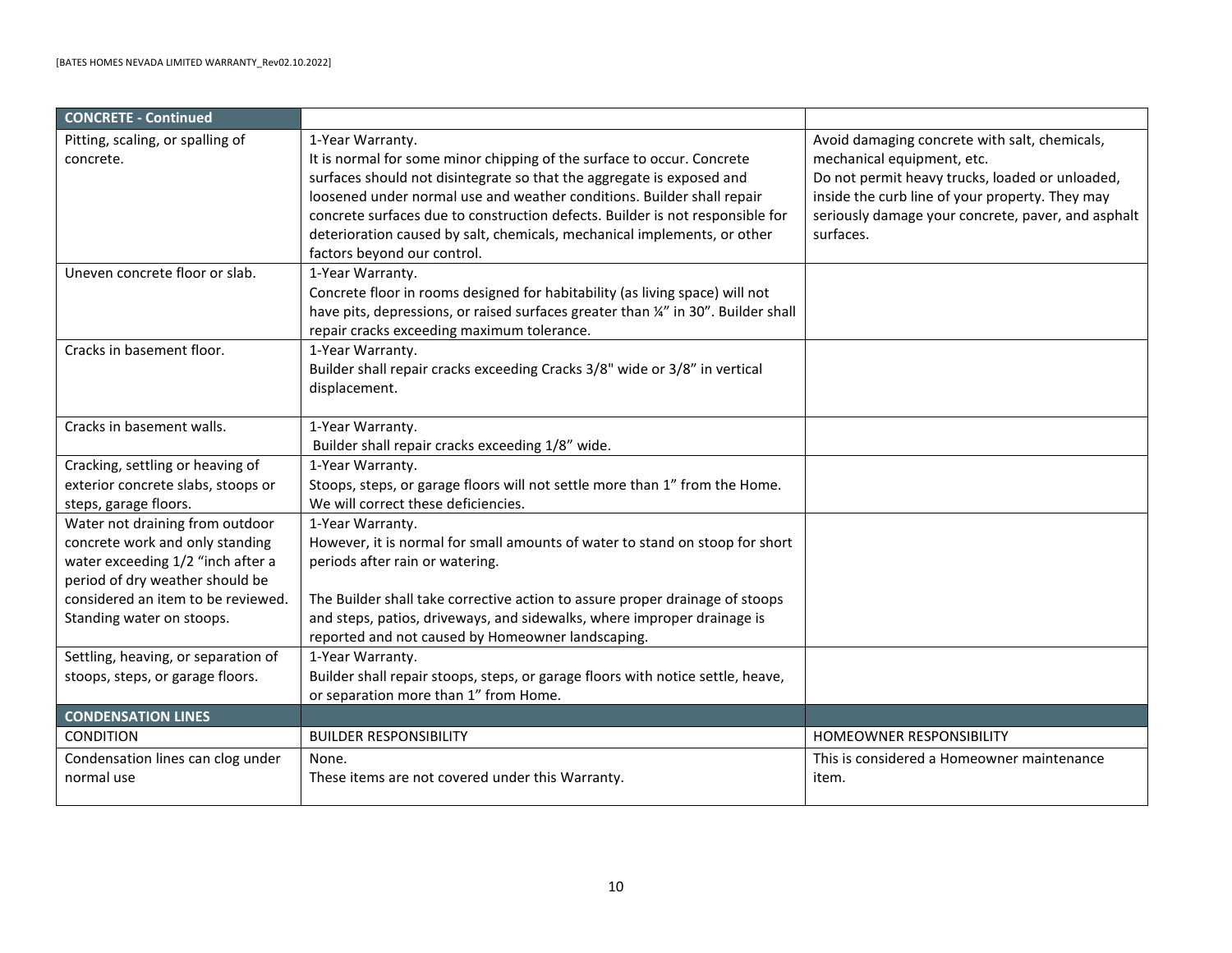<span id="page-9-1"></span><span id="page-9-0"></span>

| [BATES HOMES NEVADA LIMITED WARRANTY_Rev02.10.2022]                                                                            |                                                                                                                                                                                                                                                                                                                                              |                                                                                                                                                                                                                                                                                           |
|--------------------------------------------------------------------------------------------------------------------------------|----------------------------------------------------------------------------------------------------------------------------------------------------------------------------------------------------------------------------------------------------------------------------------------------------------------------------------------------|-------------------------------------------------------------------------------------------------------------------------------------------------------------------------------------------------------------------------------------------------------------------------------------------|
| <b>CARPET - Continued</b>                                                                                                      |                                                                                                                                                                                                                                                                                                                                              |                                                                                                                                                                                                                                                                                           |
| Wall-to-wall carpet coming up,<br>loose, or stretched.                                                                         | 1 Year-Warranty (One-Time-Only).<br>If builder originally installed wall-to-wall carpeting as a primary floor<br>covering, Builder will re-attach or re-stretch any of the carpeting that has<br>loosened from the material to which it was attached on-time in the first year<br>starting after closing or move-in, whichever occurs first. |                                                                                                                                                                                                                                                                                           |
| Wet carpet.                                                                                                                    | None.<br>Unless caused by something that is the Builder's responsibility such as roof<br>leak.                                                                                                                                                                                                                                               | It is the Homeowner's responsibility to carefully<br>pull the wet carpet loose from the tack strip and<br>turn back to dry. If Homeowner does not pull<br>carpet back to dry and carpet rots or becomes<br>mildewed, replacement of damaged carpet<br>becomes Homeowner's responsibility. |
| <b>CERAMIC TILE</b>                                                                                                            | *Builder will not be responsible for discontinued tile or grout colors or patters.<br>*Builder will not be responsible to match the tile pattern or color between the old and new tile and grout.                                                                                                                                            |                                                                                                                                                                                                                                                                                           |
| <b>CONDITION</b>                                                                                                               | <b>BUILDER RESPONSIBILITY</b>                                                                                                                                                                                                                                                                                                                | <b>HOMEOWNER RESPONSIBILITY</b>                                                                                                                                                                                                                                                           |
| Chipped or cracked floor, counter<br>or wall tile.                                                                             | None.<br>Builder shall replace any cracked tile(s) and re-secure any loose tile(s) noted<br>prior to closing or first occupancy, whichever occurs first. Builder is not<br>responsible for discontinued patterns or color variations in ceramic tile and<br>is responsible for replacement of defective tile(s) ONLY.                        | Cracks in grouting of ceramic tile joints are<br>commonly due to normal shrinkage or settling<br>caused by climate and temperature change. Minor<br>hairline cracking is acceptable and considered a<br>Homeowner maintenance item                                                        |
| Cracks in grouting of ceramic tile<br>joints and junctions with other<br>material such as a bathtub or stone<br>slabs to tile. | None.<br>These are not covered in this Warranty.<br>Cracks at the joints of tile are commonly due to normal temperature<br>changes.                                                                                                                                                                                                          | Please report these to the Builder for repair at the<br>Final Walkthrough.<br>Re-grouting or caulking of these cracks are<br>Homeowner maintenance.                                                                                                                                       |
| Loose floor, counter, or wall tile.                                                                                            | 1-Year-Warranty (One-Time-Only).<br>Builder will re-secure loose tiles one-time-only during the Warranty Period.                                                                                                                                                                                                                             | Re-grout cracks during the lifetime of the home.                                                                                                                                                                                                                                          |
| <b>CONCRETE</b>                                                                                                                |                                                                                                                                                                                                                                                                                                                                              |                                                                                                                                                                                                                                                                                           |
| <b>CONDITION</b>                                                                                                               | <b>BUILDER RESPONSIBILITY</b>                                                                                                                                                                                                                                                                                                                | <b>HOMEOWNER RESPONSIBILITY</b>                                                                                                                                                                                                                                                           |
| Damage to curbs, sidewalks,<br>roadways.                                                                                       | None.<br>Curbs, sidewalks, and roadways are the responsibility of the HOA or<br>municipality and are not covered by this Warranty.                                                                                                                                                                                                           |                                                                                                                                                                                                                                                                                           |
| Cracks in concrete slab-on-grade<br>floors under finished flooring.                                                            | 1-Year Warranty.<br>Builder shall repair cracks which rupture the finished flooring materials so<br>the cracks are not readily apparent when the finished flooring material is in<br>place.                                                                                                                                                  |                                                                                                                                                                                                                                                                                           |
| Cracks in slab in garage.                                                                                                      | 1-Year Warranty.<br>Builder shall repair cracks exceeding Cracks ¼" wide or ¼" in vertical<br>displacement.                                                                                                                                                                                                                                  |                                                                                                                                                                                                                                                                                           |
| Black marks on pavers, driveways,<br>garage floor, curbs, or walks.                                                            | None.<br>Damage called "scrubbing" may occur to your asphalt driveway by turning<br>your front wheels while your vehicle is not moving.                                                                                                                                                                                                      | Avoid turning the wheels of your car while it is<br>stopped as the resulting damage is not<br>warrantable.                                                                                                                                                                                |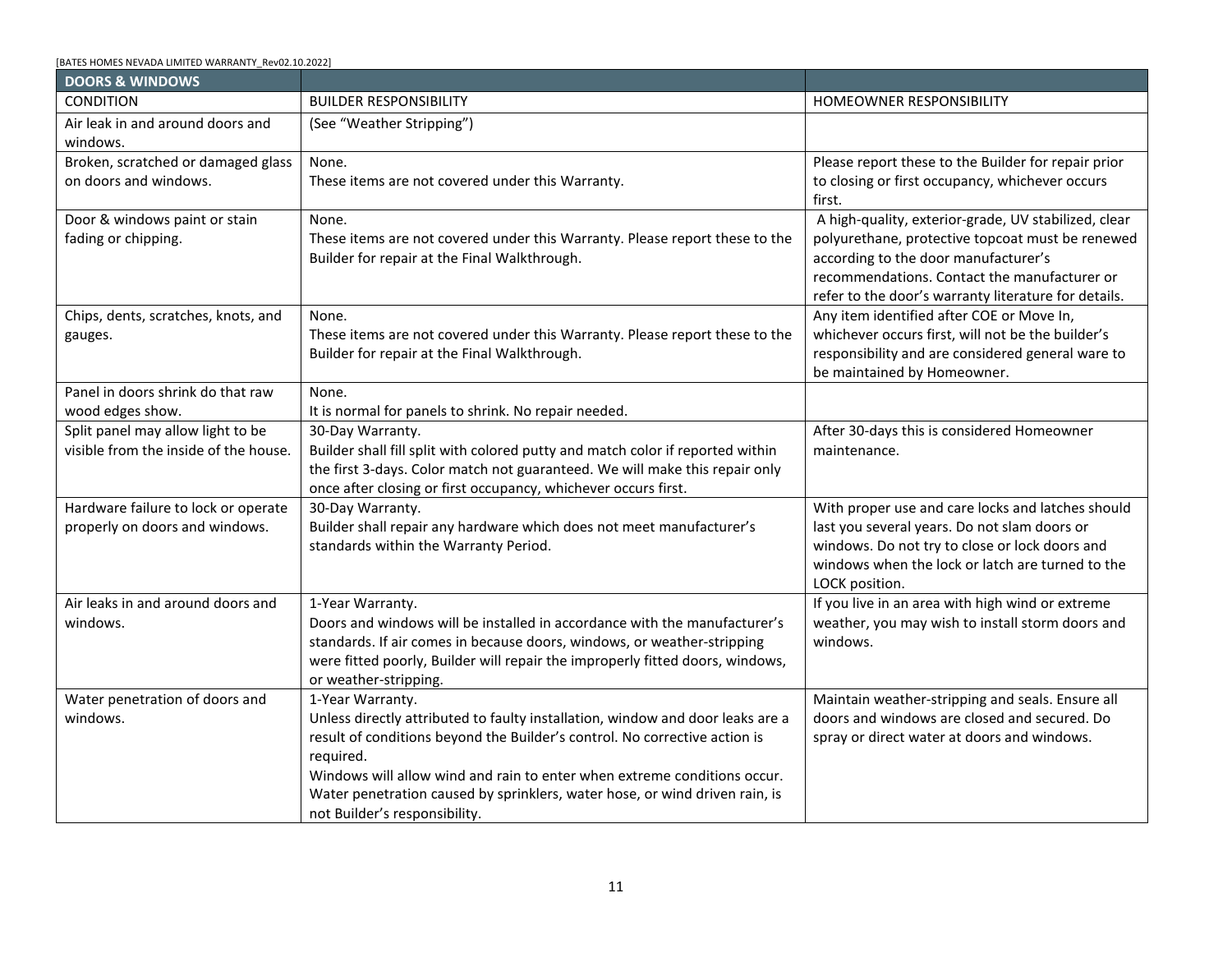<span id="page-10-0"></span>

| <b>CONCRETE - Continued</b>         |                                                                                  |                                                    |
|-------------------------------------|----------------------------------------------------------------------------------|----------------------------------------------------|
| Pitting, scaling, or spalling of    | 1-Year Warranty.                                                                 | Avoid damaging concrete with salt, chemicals,      |
| concrete.                           | It is normal for some minor chipping of the surface to occur. Concrete           | mechanical equipment, etc.                         |
|                                     | surfaces should not disintegrate so that the aggregate is exposed and            | Do not permit heavy trucks, loaded or unloaded,    |
|                                     | loosened under normal use and weather conditions. Builder shall repair           | inside the curb line of your property. They may    |
|                                     | concrete surfaces due to construction defects. Builder is not responsible for    | seriously damage your concrete, paver, and asphalt |
|                                     | deterioration caused by salt, chemicals, mechanical implements, or other         | surfaces.                                          |
|                                     | factors beyond our control.                                                      |                                                    |
| Uneven concrete floor or slab.      | 1-Year Warranty.                                                                 |                                                    |
|                                     | Concrete floor in rooms designed for habitability (as living space) will not     |                                                    |
|                                     | have pits, depressions, or raised surfaces greater than ¼" in 30". Builder shall |                                                    |
|                                     | repair cracks exceeding maximum tolerance.                                       |                                                    |
| Cracks in basement floor.           | 1-Year Warranty.                                                                 |                                                    |
|                                     | Builder shall repair cracks exceeding Cracks 3/8" wide or 3/8" in vertical       |                                                    |
|                                     | displacement.                                                                    |                                                    |
|                                     |                                                                                  |                                                    |
| Cracks in basement walls.           | 1-Year Warranty.                                                                 |                                                    |
|                                     | Builder shall repair cracks exceeding 1/8" wide.                                 |                                                    |
| Cracking, settling or heaving of    | 1-Year Warranty.                                                                 |                                                    |
| exterior concrete slabs, stoops or  | Stoops, steps, or garage floors will not settle more than 1" from the Home.      |                                                    |
| steps, garage floors.               | We will correct these deficiencies.                                              |                                                    |
| Water not draining from outdoor     | 1-Year Warranty.                                                                 |                                                    |
| concrete work and only standing     | However, it is normal for small amounts of water to stand on stoop for short     |                                                    |
| water exceeding 1/2 "inch after a   | periods after rain or watering.                                                  |                                                    |
| period of dry weather should be     |                                                                                  |                                                    |
| considered an item to be reviewed.  | The Builder shall take corrective action to assure proper drainage of stoops     |                                                    |
| Standing water on stoops.           | and steps, patios, driveways, and sidewalks, where improper drainage is          |                                                    |
|                                     | reported and not caused by Homeowner landscaping.                                |                                                    |
| Settling, heaving, or separation of | 1-Year Warranty.                                                                 |                                                    |
| stoops, steps, or garage floors.    | Builder shall repair stoops, steps, or garage floors with notice settle, heave,  |                                                    |
|                                     | or separation more than 1" from Home.                                            |                                                    |
| <b>CONDENSATION LINES</b>           |                                                                                  |                                                    |
| CONDITION                           | <b>BUILDER RESPONSIBILITY</b>                                                    | HOMEOWNER RESPONSIBILITY                           |
| Condensation lines can clog under   | None.                                                                            | This is considered a Homeowner maintenance         |
| normal use                          | These items are not covered under this Warranty.                                 | item.                                              |
|                                     |                                                                                  |                                                    |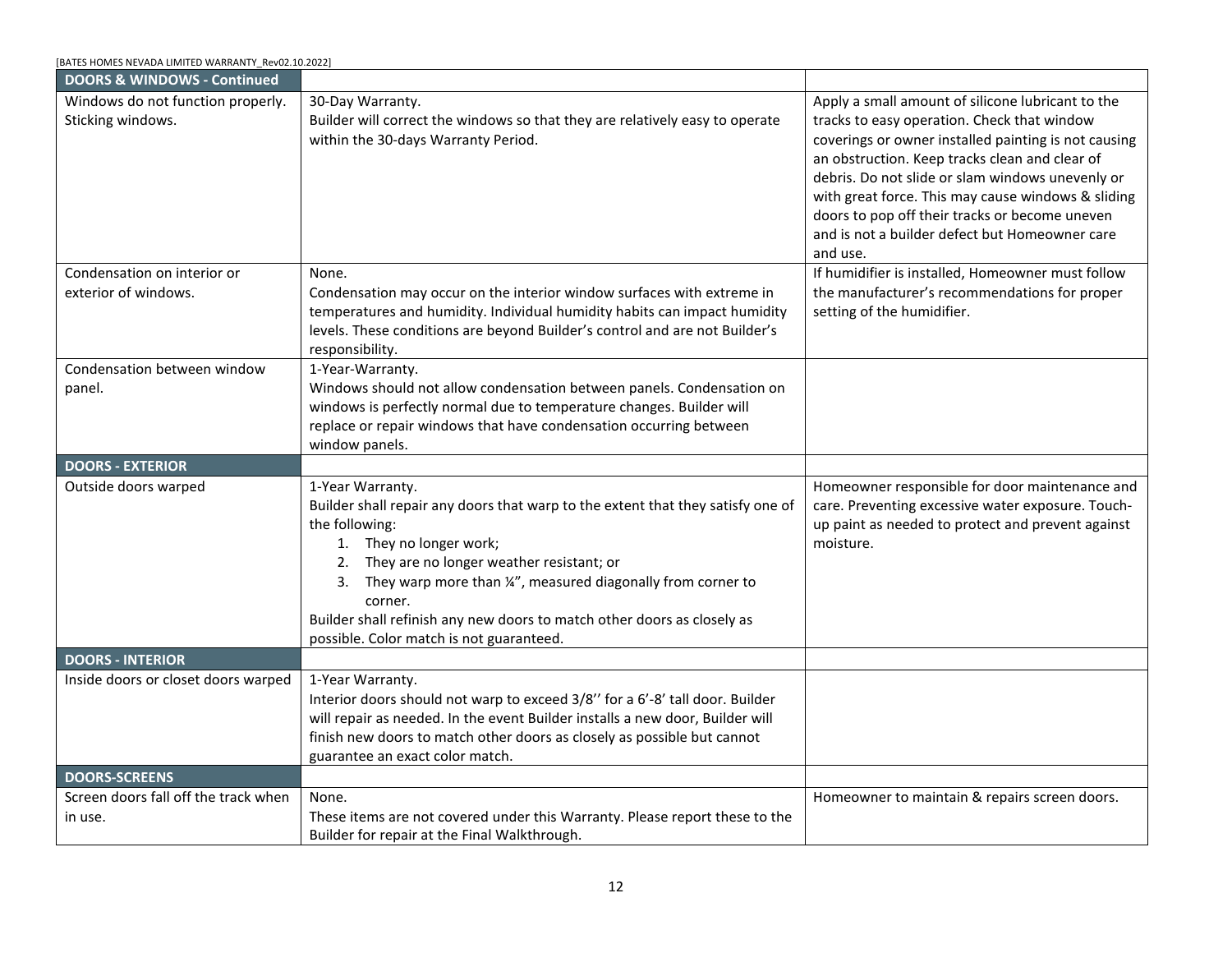| [BATES HOMES NEVADA LIMITED WARRANTY Rev02.10.2022] |  |
|-----------------------------------------------------|--|
|-----------------------------------------------------|--|

<span id="page-11-0"></span>

| <b>DOORS &amp; WINDOWS</b>                                                 |                                                                                                                                                                                                                                                                                                                                                                                           |                                                                                                                                                                                                                                                          |
|----------------------------------------------------------------------------|-------------------------------------------------------------------------------------------------------------------------------------------------------------------------------------------------------------------------------------------------------------------------------------------------------------------------------------------------------------------------------------------|----------------------------------------------------------------------------------------------------------------------------------------------------------------------------------------------------------------------------------------------------------|
| <b>CONDITION</b>                                                           | <b>BUILDER RESPONSIBILITY</b>                                                                                                                                                                                                                                                                                                                                                             | <b>HOMEOWNER RESPONSIBILITY</b>                                                                                                                                                                                                                          |
| Air leak in and around doors and<br>windows.                               | (See "Weather Stripping")                                                                                                                                                                                                                                                                                                                                                                 |                                                                                                                                                                                                                                                          |
| Broken, scratched or damaged glass<br>on doors and windows.                | None.<br>These items are not covered under this Warranty.                                                                                                                                                                                                                                                                                                                                 | Please report these to the Builder for repair prior<br>to closing or first occupancy, whichever occurs<br>first.                                                                                                                                         |
| Door & windows paint or stain<br>fading or chipping.                       | None.<br>These items are not covered under this Warranty. Please report these to the<br>Builder for repair at the Final Walkthrough.                                                                                                                                                                                                                                                      | A high-quality, exterior-grade, UV stabilized, clear<br>polyurethane, protective topcoat must be renewed<br>according to the door manufacturer's<br>recommendations. Contact the manufacturer or<br>refer to the door's warranty literature for details. |
| Chips, dents, scratches, knots, and<br>gauges.                             | None.<br>These items are not covered under this Warranty. Please report these to the<br>Builder for repair at the Final Walkthrough.                                                                                                                                                                                                                                                      | Any item identified after COE or Move In,<br>whichever occurs first, will not be the builder's<br>responsibility and are considered general ware to<br>be maintained by Homeowner.                                                                       |
| Panel in doors shrink do that raw<br>wood edges show.                      | None.<br>It is normal for panels to shrink. No repair needed.                                                                                                                                                                                                                                                                                                                             |                                                                                                                                                                                                                                                          |
| Split panel may allow light to be<br>visible from the inside of the house. | 30-Day Warranty.<br>Builder shall fill split with colored putty and match color if reported within<br>the first 3-days. Color match not guaranteed. We will make this repair only<br>once after closing or first occupancy, whichever occurs first.                                                                                                                                       | After 30-days this is considered Homeowner<br>maintenance.                                                                                                                                                                                               |
| Hardware failure to lock or operate<br>properly on doors and windows.      | 30-Day Warranty.<br>Builder shall repair any hardware which does not meet manufacturer's<br>standards within the Warranty Period.                                                                                                                                                                                                                                                         | With proper use and care locks and latches should<br>last you several years. Do not slam doors or<br>windows. Do not try to close or lock doors and<br>windows when the lock or latch are turned to the<br>LOCK position.                                |
| Air leaks in and around doors and<br>windows.                              | 1-Year Warranty.<br>Doors and windows will be installed in accordance with the manufacturer's<br>standards. If air comes in because doors, windows, or weather-stripping<br>were fitted poorly, Builder will repair the improperly fitted doors, windows,<br>or weather-stripping.                                                                                                        | If you live in an area with high wind or extreme<br>weather, you may wish to install storm doors and<br>windows.                                                                                                                                         |
| Water penetration of doors and<br>windows.                                 | 1-Year Warranty.<br>Unless directly attributed to faulty installation, window and door leaks are a<br>result of conditions beyond the Builder's control. No corrective action is<br>required.<br>Windows will allow wind and rain to enter when extreme conditions occur.<br>Water penetration caused by sprinklers, water hose, or wind driven rain, is<br>not Builder's responsibility. | Maintain weather-stripping and seals. Ensure all<br>doors and windows are closed and secured. Do<br>spray or direct water at doors and windows.                                                                                                          |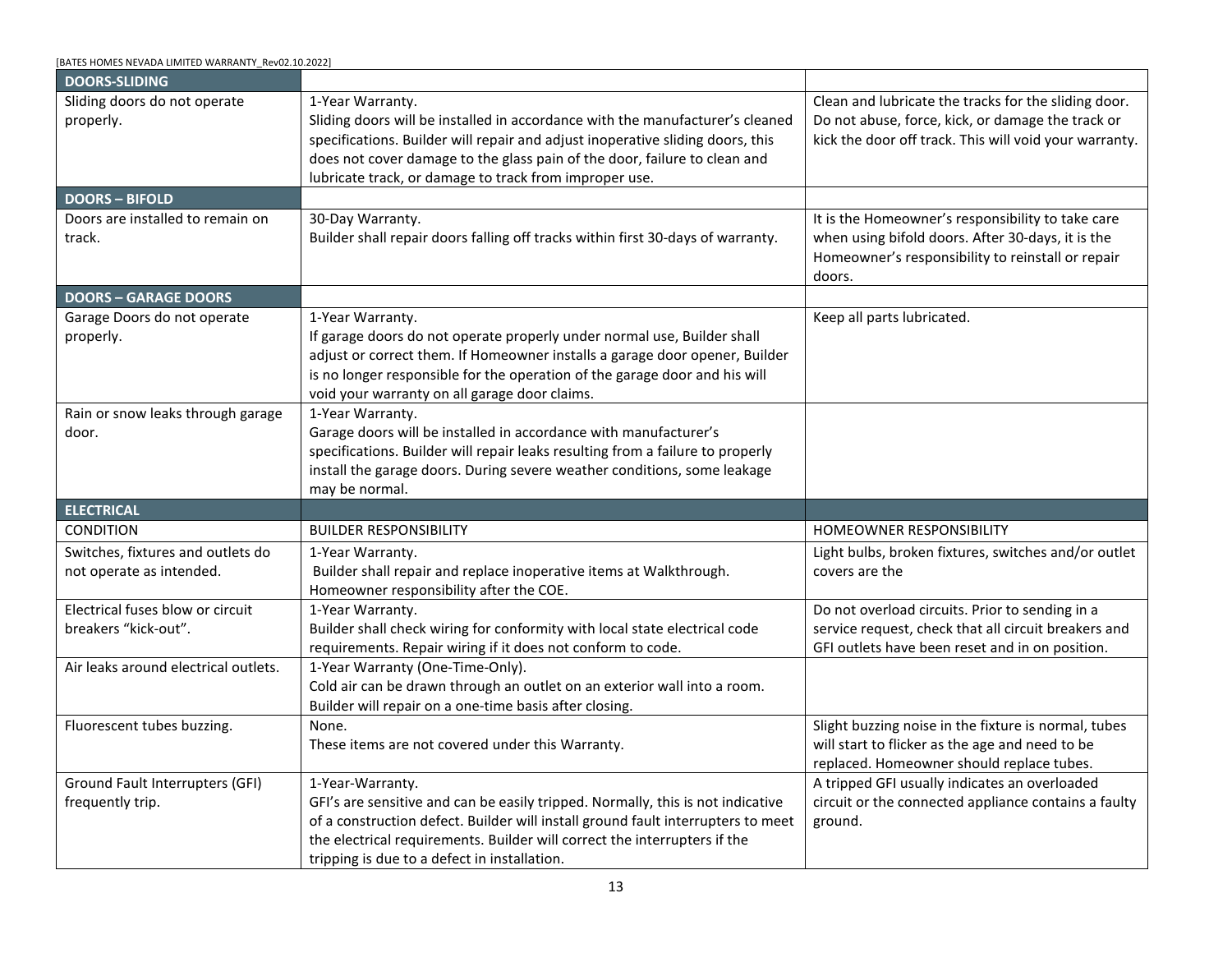<span id="page-12-2"></span><span id="page-12-1"></span><span id="page-12-0"></span>

| [BATES HOMES NEVADA LIMITED WARRANTY Rev02.10.2022]    |                                                                                                                                                                                                                                                                                                                                                                                                      |                                                                                                                                                                                                                                                                                                                                                                                                                                      |
|--------------------------------------------------------|------------------------------------------------------------------------------------------------------------------------------------------------------------------------------------------------------------------------------------------------------------------------------------------------------------------------------------------------------------------------------------------------------|--------------------------------------------------------------------------------------------------------------------------------------------------------------------------------------------------------------------------------------------------------------------------------------------------------------------------------------------------------------------------------------------------------------------------------------|
| <b>DOORS &amp; WINDOWS - Continued</b>                 |                                                                                                                                                                                                                                                                                                                                                                                                      |                                                                                                                                                                                                                                                                                                                                                                                                                                      |
| Windows do not function properly.<br>Sticking windows. | 30-Day Warranty.<br>Builder will correct the windows so that they are relatively easy to operate<br>within the 30-days Warranty Period.                                                                                                                                                                                                                                                              | Apply a small amount of silicone lubricant to the<br>tracks to easy operation. Check that window<br>coverings or owner installed painting is not causing<br>an obstruction. Keep tracks clean and clear of<br>debris. Do not slide or slam windows unevenly or<br>with great force. This may cause windows & sliding<br>doors to pop off their tracks or become uneven<br>and is not a builder defect but Homeowner care<br>and use. |
| Condensation on interior or<br>exterior of windows.    | None.<br>Condensation may occur on the interior window surfaces with extreme in<br>temperatures and humidity. Individual humidity habits can impact humidity                                                                                                                                                                                                                                         | If humidifier is installed, Homeowner must follow<br>the manufacturer's recommendations for proper<br>setting of the humidifier.                                                                                                                                                                                                                                                                                                     |
|                                                        | levels. These conditions are beyond Builder's control and are not Builder's<br>responsibility.                                                                                                                                                                                                                                                                                                       |                                                                                                                                                                                                                                                                                                                                                                                                                                      |
| Condensation between window<br>panel.                  | 1-Year-Warranty.<br>Windows should not allow condensation between panels. Condensation on<br>windows is perfectly normal due to temperature changes. Builder will<br>replace or repair windows that have condensation occurring between<br>window panels.                                                                                                                                            |                                                                                                                                                                                                                                                                                                                                                                                                                                      |
| <b>DOORS - EXTERIOR</b>                                |                                                                                                                                                                                                                                                                                                                                                                                                      |                                                                                                                                                                                                                                                                                                                                                                                                                                      |
| Outside doors warped                                   | 1-Year Warranty.<br>Builder shall repair any doors that warp to the extent that they satisfy one of<br>the following:<br>1. They no longer work;<br>2. They are no longer weather resistant; or<br>3. They warp more than 1/4", measured diagonally from corner to<br>corner.<br>Builder shall refinish any new doors to match other doors as closely as<br>possible. Color match is not guaranteed. | Homeowner responsible for door maintenance and<br>care. Preventing excessive water exposure. Touch-<br>up paint as needed to protect and prevent against<br>moisture.                                                                                                                                                                                                                                                                |
| <b>DOORS - INTERIOR</b>                                |                                                                                                                                                                                                                                                                                                                                                                                                      |                                                                                                                                                                                                                                                                                                                                                                                                                                      |
| Inside doors or closet doors warped                    | 1-Year Warranty.<br>Interior doors should not warp to exceed 3/8" for a 6'-8' tall door. Builder<br>will repair as needed. In the event Builder installs a new door, Builder will<br>finish new doors to match other doors as closely as possible but cannot<br>guarantee an exact color match.                                                                                                      |                                                                                                                                                                                                                                                                                                                                                                                                                                      |
| <b>DOORS-SCREENS</b>                                   |                                                                                                                                                                                                                                                                                                                                                                                                      |                                                                                                                                                                                                                                                                                                                                                                                                                                      |
| Screen doors fall off the track when<br>in use.        | None.<br>These items are not covered under this Warranty. Please report these to the<br>Builder for repair at the Final Walkthrough.                                                                                                                                                                                                                                                                 | Homeowner to maintain & repairs screen doors.                                                                                                                                                                                                                                                                                                                                                                                        |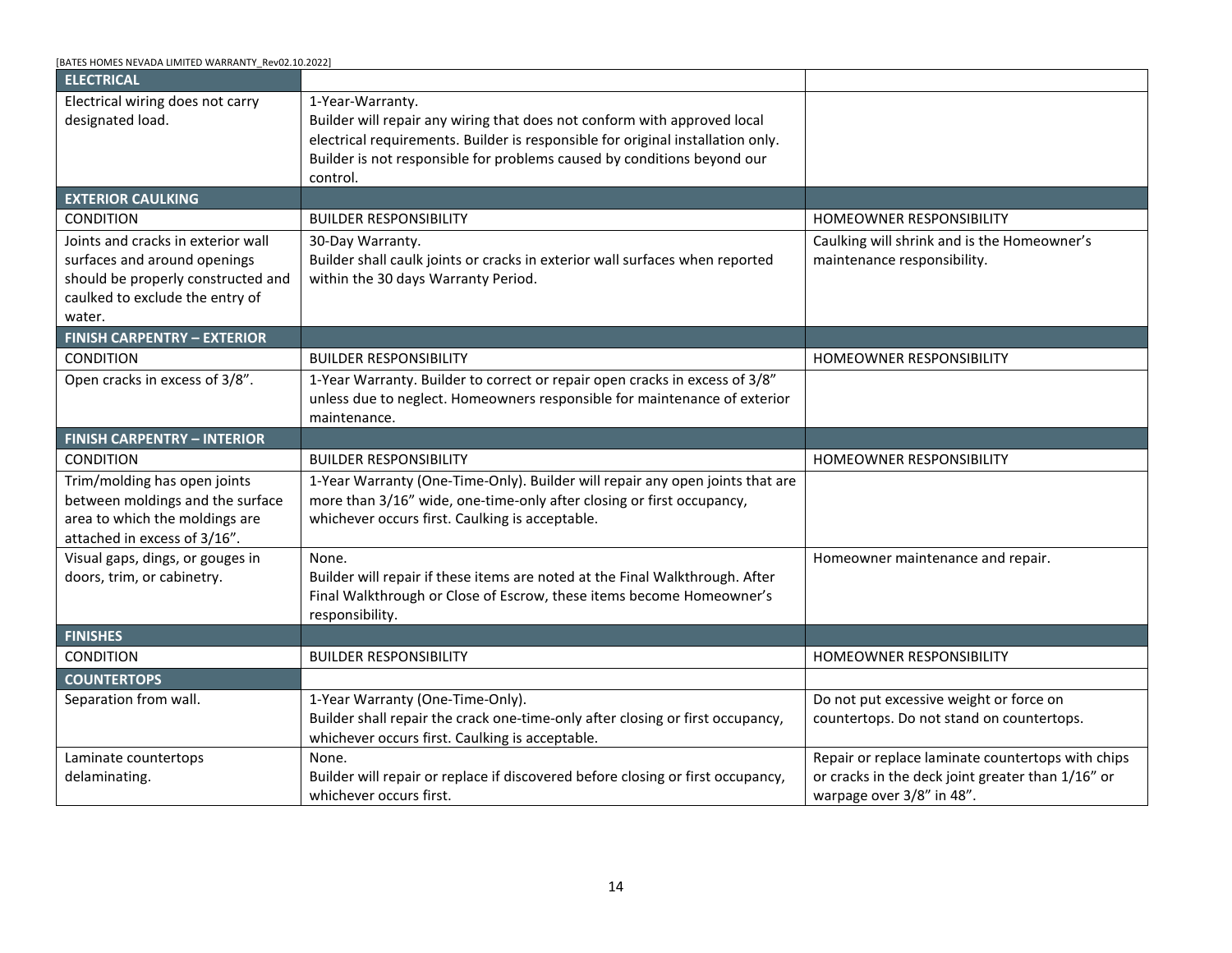<span id="page-13-3"></span><span id="page-13-2"></span><span id="page-13-1"></span><span id="page-13-0"></span>

| [BATES HOMES NEVADA LIMITED WARRANTY Rev02.10.2022]           |                                                                                                                                                                                                                                                                                                                            |                                                                                                                                                                       |
|---------------------------------------------------------------|----------------------------------------------------------------------------------------------------------------------------------------------------------------------------------------------------------------------------------------------------------------------------------------------------------------------------|-----------------------------------------------------------------------------------------------------------------------------------------------------------------------|
| <b>DOORS-SLIDING</b>                                          |                                                                                                                                                                                                                                                                                                                            |                                                                                                                                                                       |
| Sliding doors do not operate<br>properly.                     | 1-Year Warranty.<br>Sliding doors will be installed in accordance with the manufacturer's cleaned<br>specifications. Builder will repair and adjust inoperative sliding doors, this<br>does not cover damage to the glass pain of the door, failure to clean and<br>lubricate track, or damage to track from improper use. | Clean and lubricate the tracks for the sliding door.<br>Do not abuse, force, kick, or damage the track or<br>kick the door off track. This will void your warranty.   |
| <b>DOORS-BIFOLD</b>                                           |                                                                                                                                                                                                                                                                                                                            |                                                                                                                                                                       |
| Doors are installed to remain on<br>track.                    | 30-Day Warranty.<br>Builder shall repair doors falling off tracks within first 30-days of warranty.                                                                                                                                                                                                                        | It is the Homeowner's responsibility to take care<br>when using bifold doors. After 30-days, it is the<br>Homeowner's responsibility to reinstall or repair<br>doors. |
| <b>DOORS - GARAGE DOORS</b>                                   |                                                                                                                                                                                                                                                                                                                            |                                                                                                                                                                       |
| Garage Doors do not operate<br>properly.                      | 1-Year Warranty.<br>If garage doors do not operate properly under normal use, Builder shall<br>adjust or correct them. If Homeowner installs a garage door opener, Builder<br>is no longer responsible for the operation of the garage door and his will<br>void your warranty on all garage door claims.                  | Keep all parts lubricated.                                                                                                                                            |
| Rain or snow leaks through garage<br>door.                    | 1-Year Warranty.<br>Garage doors will be installed in accordance with manufacturer's<br>specifications. Builder will repair leaks resulting from a failure to properly<br>install the garage doors. During severe weather conditions, some leakage<br>may be normal.                                                       |                                                                                                                                                                       |
| <b>ELECTRICAL</b>                                             |                                                                                                                                                                                                                                                                                                                            |                                                                                                                                                                       |
| CONDITION                                                     | <b>BUILDER RESPONSIBILITY</b>                                                                                                                                                                                                                                                                                              | HOMEOWNER RESPONSIBILITY                                                                                                                                              |
| Switches, fixtures and outlets do<br>not operate as intended. | 1-Year Warranty.<br>Builder shall repair and replace inoperative items at Walkthrough.<br>Homeowner responsibility after the COE.                                                                                                                                                                                          | Light bulbs, broken fixtures, switches and/or outlet<br>covers are the                                                                                                |
| Electrical fuses blow or circuit<br>breakers "kick-out".      | 1-Year Warranty.<br>Builder shall check wiring for conformity with local state electrical code<br>requirements. Repair wiring if it does not conform to code.                                                                                                                                                              | Do not overload circuits. Prior to sending in a<br>service request, check that all circuit breakers and<br>GFI outlets have been reset and in on position.            |
| Air leaks around electrical outlets.                          | 1-Year Warranty (One-Time-Only).<br>Cold air can be drawn through an outlet on an exterior wall into a room.<br>Builder will repair on a one-time basis after closing.                                                                                                                                                     |                                                                                                                                                                       |
| Fluorescent tubes buzzing.                                    | None.<br>These items are not covered under this Warranty.                                                                                                                                                                                                                                                                  | Slight buzzing noise in the fixture is normal, tubes<br>will start to flicker as the age and need to be<br>replaced. Homeowner should replace tubes.                  |
| Ground Fault Interrupters (GFI)<br>frequently trip.           | 1-Year-Warranty.<br>GFI's are sensitive and can be easily tripped. Normally, this is not indicative<br>of a construction defect. Builder will install ground fault interrupters to meet<br>the electrical requirements. Builder will correct the interrupters if the<br>tripping is due to a defect in installation.       | A tripped GFI usually indicates an overloaded<br>circuit or the connected appliance contains a faulty<br>ground.                                                      |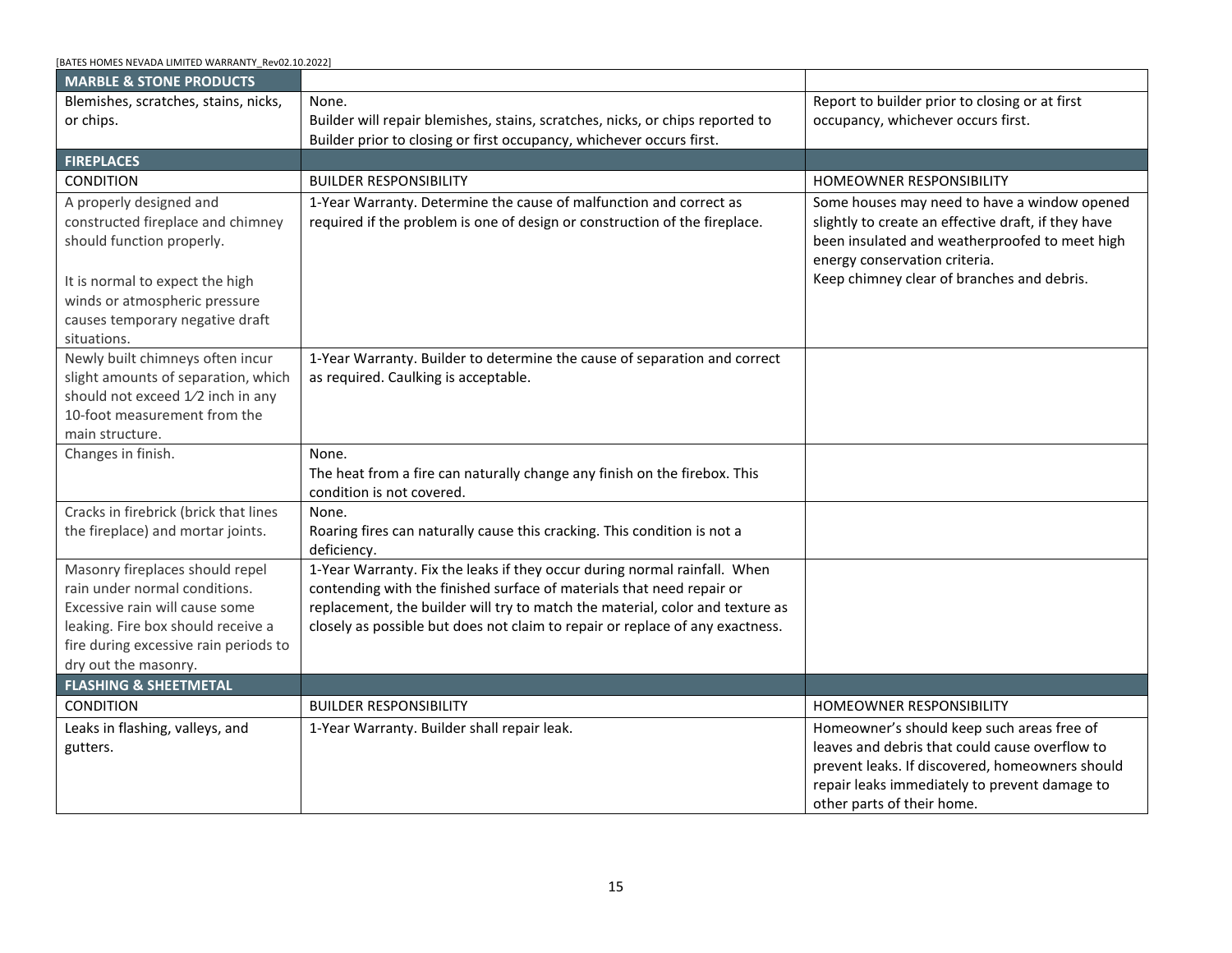<span id="page-14-4"></span><span id="page-14-3"></span><span id="page-14-2"></span><span id="page-14-1"></span><span id="page-14-0"></span>

| BATES HOMES NEVADA LIMITED WARRANTY Rev02.10.2022]                                                                                 |                                                                                                                                                                                                                                                                        |                                                                                      |
|------------------------------------------------------------------------------------------------------------------------------------|------------------------------------------------------------------------------------------------------------------------------------------------------------------------------------------------------------------------------------------------------------------------|--------------------------------------------------------------------------------------|
| <b>ELECTRICAL</b>                                                                                                                  |                                                                                                                                                                                                                                                                        |                                                                                      |
| Electrical wiring does not carry<br>designated load.                                                                               | 1-Year-Warranty.<br>Builder will repair any wiring that does not conform with approved local<br>electrical requirements. Builder is responsible for original installation only.<br>Builder is not responsible for problems caused by conditions beyond our<br>control. |                                                                                      |
| <b>EXTERIOR CAULKING</b>                                                                                                           |                                                                                                                                                                                                                                                                        |                                                                                      |
| <b>CONDITION</b>                                                                                                                   | <b>BUILDER RESPONSIBILITY</b>                                                                                                                                                                                                                                          | <b>HOMEOWNER RESPONSIBILITY</b>                                                      |
| Joints and cracks in exterior wall                                                                                                 | 30-Day Warranty.                                                                                                                                                                                                                                                       | Caulking will shrink and is the Homeowner's                                          |
| surfaces and around openings                                                                                                       | Builder shall caulk joints or cracks in exterior wall surfaces when reported                                                                                                                                                                                           | maintenance responsibility.                                                          |
| should be properly constructed and                                                                                                 | within the 30 days Warranty Period.                                                                                                                                                                                                                                    |                                                                                      |
| caulked to exclude the entry of                                                                                                    |                                                                                                                                                                                                                                                                        |                                                                                      |
| water.                                                                                                                             |                                                                                                                                                                                                                                                                        |                                                                                      |
| <b>FINISH CARPENTRY - EXTERIOR</b>                                                                                                 |                                                                                                                                                                                                                                                                        |                                                                                      |
| <b>CONDITION</b>                                                                                                                   | <b>BUILDER RESPONSIBILITY</b>                                                                                                                                                                                                                                          | <b>HOMEOWNER RESPONSIBILITY</b>                                                      |
| Open cracks in excess of 3/8".                                                                                                     | 1-Year Warranty. Builder to correct or repair open cracks in excess of 3/8"<br>unless due to neglect. Homeowners responsible for maintenance of exterior<br>maintenance.                                                                                               |                                                                                      |
| <b>FINISH CARPENTRY - INTERIOR</b>                                                                                                 |                                                                                                                                                                                                                                                                        |                                                                                      |
| CONDITION                                                                                                                          | <b>BUILDER RESPONSIBILITY</b>                                                                                                                                                                                                                                          | HOMEOWNER RESPONSIBILITY                                                             |
| Trim/molding has open joints<br>between moldings and the surface<br>area to which the moldings are<br>attached in excess of 3/16". | 1-Year Warranty (One-Time-Only). Builder will repair any open joints that are<br>more than 3/16" wide, one-time-only after closing or first occupancy,<br>whichever occurs first. Caulking is acceptable.                                                              |                                                                                      |
| Visual gaps, dings, or gouges in<br>doors, trim, or cabinetry.                                                                     | None.<br>Builder will repair if these items are noted at the Final Walkthrough. After<br>Final Walkthrough or Close of Escrow, these items become Homeowner's<br>responsibility.                                                                                       | Homeowner maintenance and repair.                                                    |
| <b>FINISHES</b>                                                                                                                    |                                                                                                                                                                                                                                                                        |                                                                                      |
| <b>CONDITION</b>                                                                                                                   | <b>BUILDER RESPONSIBILITY</b>                                                                                                                                                                                                                                          | HOMEOWNER RESPONSIBILITY                                                             |
| <b>COUNTERTOPS</b>                                                                                                                 |                                                                                                                                                                                                                                                                        |                                                                                      |
| Separation from wall.                                                                                                              | 1-Year Warranty (One-Time-Only).<br>Builder shall repair the crack one-time-only after closing or first occupancy,<br>whichever occurs first. Caulking is acceptable.                                                                                                  | Do not put excessive weight or force on<br>countertops. Do not stand on countertops. |
| Laminate countertops                                                                                                               | None.                                                                                                                                                                                                                                                                  | Repair or replace laminate countertops with chips                                    |
| delaminating.                                                                                                                      | Builder will repair or replace if discovered before closing or first occupancy,<br>whichever occurs first.                                                                                                                                                             | or cracks in the deck joint greater than 1/16" or<br>warpage over 3/8" in 48".       |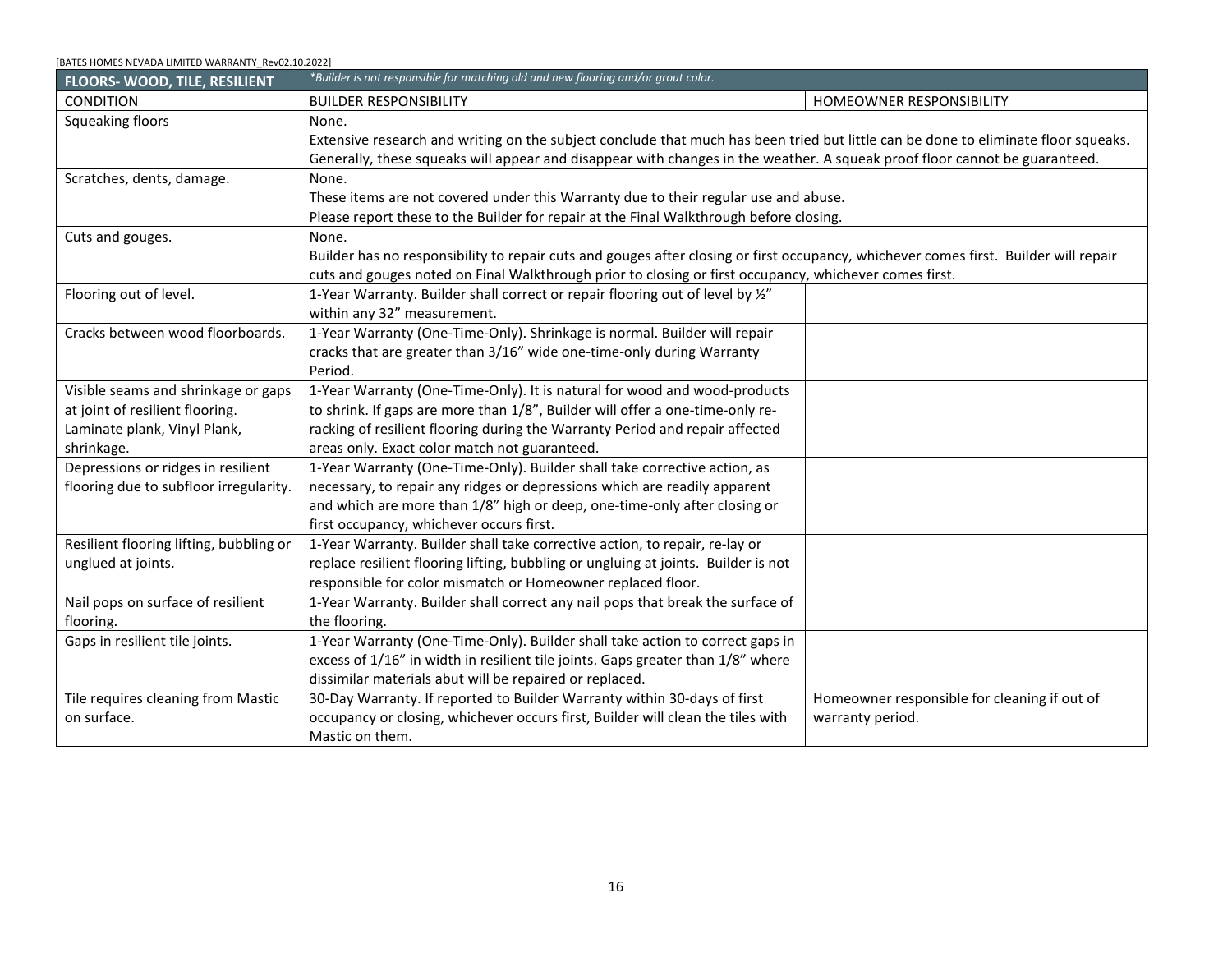<span id="page-15-2"></span><span id="page-15-1"></span><span id="page-15-0"></span>

| [BATES HOMES NEVADA LIMITED WARRANTY_Rev02.10.2022]                                                                                                                                                             |                                                                                                                                                                                                                                                                                                                      |                                                                                                                                                                                                                                      |
|-----------------------------------------------------------------------------------------------------------------------------------------------------------------------------------------------------------------|----------------------------------------------------------------------------------------------------------------------------------------------------------------------------------------------------------------------------------------------------------------------------------------------------------------------|--------------------------------------------------------------------------------------------------------------------------------------------------------------------------------------------------------------------------------------|
| <b>MARBLE &amp; STONE PRODUCTS</b>                                                                                                                                                                              |                                                                                                                                                                                                                                                                                                                      |                                                                                                                                                                                                                                      |
| Blemishes, scratches, stains, nicks,                                                                                                                                                                            | None.                                                                                                                                                                                                                                                                                                                | Report to builder prior to closing or at first                                                                                                                                                                                       |
| or chips.                                                                                                                                                                                                       | Builder will repair blemishes, stains, scratches, nicks, or chips reported to                                                                                                                                                                                                                                        | occupancy, whichever occurs first.                                                                                                                                                                                                   |
|                                                                                                                                                                                                                 | Builder prior to closing or first occupancy, whichever occurs first.                                                                                                                                                                                                                                                 |                                                                                                                                                                                                                                      |
| <b>FIREPLACES</b>                                                                                                                                                                                               |                                                                                                                                                                                                                                                                                                                      |                                                                                                                                                                                                                                      |
| CONDITION                                                                                                                                                                                                       | <b>BUILDER RESPONSIBILITY</b>                                                                                                                                                                                                                                                                                        | HOMEOWNER RESPONSIBILITY                                                                                                                                                                                                             |
| A properly designed and<br>constructed fireplace and chimney<br>should function properly.<br>It is normal to expect the high<br>winds or atmospheric pressure<br>causes temporary negative draft<br>situations. | 1-Year Warranty. Determine the cause of malfunction and correct as<br>required if the problem is one of design or construction of the fireplace.                                                                                                                                                                     | Some houses may need to have a window opened<br>slightly to create an effective draft, if they have<br>been insulated and weatherproofed to meet high<br>energy conservation criteria.<br>Keep chimney clear of branches and debris. |
| Newly built chimneys often incur<br>slight amounts of separation, which<br>should not exceed 1/2 inch in any<br>10-foot measurement from the<br>main structure.                                                 | 1-Year Warranty. Builder to determine the cause of separation and correct<br>as required. Caulking is acceptable.                                                                                                                                                                                                    |                                                                                                                                                                                                                                      |
| Changes in finish.                                                                                                                                                                                              | None.<br>The heat from a fire can naturally change any finish on the firebox. This<br>condition is not covered.                                                                                                                                                                                                      |                                                                                                                                                                                                                                      |
| Cracks in firebrick (brick that lines<br>the fireplace) and mortar joints.                                                                                                                                      | None.<br>Roaring fires can naturally cause this cracking. This condition is not a<br>deficiency.                                                                                                                                                                                                                     |                                                                                                                                                                                                                                      |
| Masonry fireplaces should repel<br>rain under normal conditions.<br>Excessive rain will cause some<br>leaking. Fire box should receive a<br>fire during excessive rain periods to<br>dry out the masonry.       | 1-Year Warranty. Fix the leaks if they occur during normal rainfall. When<br>contending with the finished surface of materials that need repair or<br>replacement, the builder will try to match the material, color and texture as<br>closely as possible but does not claim to repair or replace of any exactness. |                                                                                                                                                                                                                                      |
| <b>FLASHING &amp; SHEETMETAL</b>                                                                                                                                                                                |                                                                                                                                                                                                                                                                                                                      |                                                                                                                                                                                                                                      |
| <b>CONDITION</b>                                                                                                                                                                                                | <b>BUILDER RESPONSIBILITY</b>                                                                                                                                                                                                                                                                                        | <b>HOMEOWNER RESPONSIBILITY</b>                                                                                                                                                                                                      |
| Leaks in flashing, valleys, and<br>gutters.                                                                                                                                                                     | 1-Year Warranty. Builder shall repair leak.                                                                                                                                                                                                                                                                          | Homeowner's should keep such areas free of<br>leaves and debris that could cause overflow to<br>prevent leaks. If discovered, homeowners should<br>repair leaks immediately to prevent damage to<br>other parts of their home.       |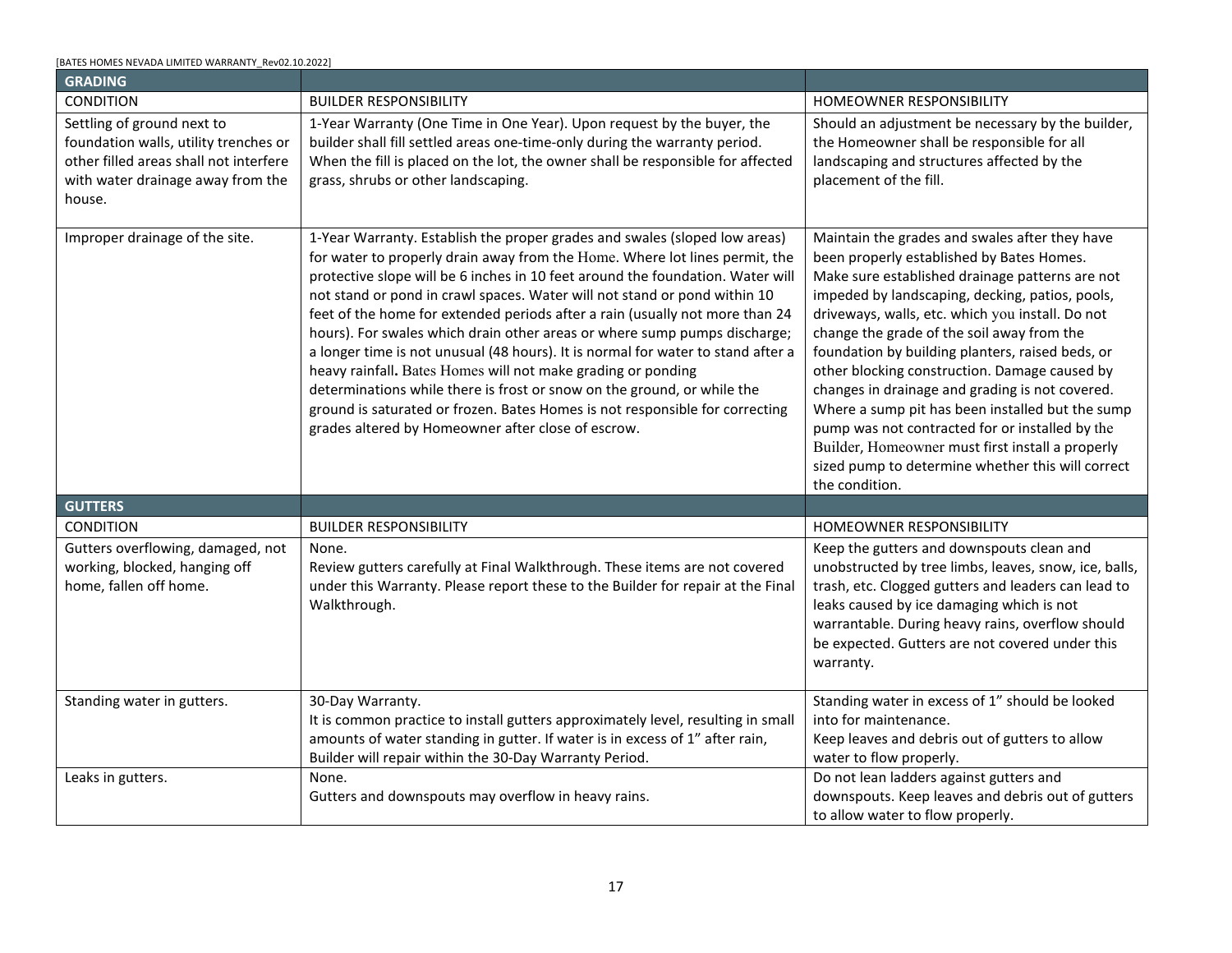<span id="page-16-0"></span>

| [BATES HOMES NEVADA LIMITED WARRANTY Rev02.10.2022] |                                                                                                                                      |                                              |  |
|-----------------------------------------------------|--------------------------------------------------------------------------------------------------------------------------------------|----------------------------------------------|--|
| FLOORS-WOOD, TILE, RESILIENT                        | *Builder is not responsible for matching old and new flooring and/or grout color.                                                    |                                              |  |
| <b>CONDITION</b>                                    | <b>BUILDER RESPONSIBILITY</b>                                                                                                        | HOMEOWNER RESPONSIBILITY                     |  |
| Squeaking floors                                    | None.                                                                                                                                |                                              |  |
|                                                     | Extensive research and writing on the subject conclude that much has been tried but little can be done to eliminate floor squeaks.   |                                              |  |
|                                                     | Generally, these squeaks will appear and disappear with changes in the weather. A squeak proof floor cannot be guaranteed.           |                                              |  |
| Scratches, dents, damage.                           | None.                                                                                                                                |                                              |  |
|                                                     | These items are not covered under this Warranty due to their regular use and abuse.                                                  |                                              |  |
|                                                     | Please report these to the Builder for repair at the Final Walkthrough before closing.                                               |                                              |  |
| Cuts and gouges.                                    | None.                                                                                                                                |                                              |  |
|                                                     | Builder has no responsibility to repair cuts and gouges after closing or first occupancy, whichever comes first. Builder will repair |                                              |  |
|                                                     | cuts and gouges noted on Final Walkthrough prior to closing or first occupancy, whichever comes first.                               |                                              |  |
| Flooring out of level.                              | 1-Year Warranty. Builder shall correct or repair flooring out of level by 1/2"                                                       |                                              |  |
|                                                     | within any 32" measurement.                                                                                                          |                                              |  |
| Cracks between wood floorboards.                    | 1-Year Warranty (One-Time-Only). Shrinkage is normal. Builder will repair                                                            |                                              |  |
|                                                     | cracks that are greater than 3/16" wide one-time-only during Warranty                                                                |                                              |  |
|                                                     | Period.                                                                                                                              |                                              |  |
| Visible seams and shrinkage or gaps                 | 1-Year Warranty (One-Time-Only). It is natural for wood and wood-products                                                            |                                              |  |
| at joint of resilient flooring.                     | to shrink. If gaps are more than 1/8", Builder will offer a one-time-only re-                                                        |                                              |  |
| Laminate plank, Vinyl Plank,                        | racking of resilient flooring during the Warranty Period and repair affected                                                         |                                              |  |
| shrinkage.                                          | areas only. Exact color match not guaranteed.                                                                                        |                                              |  |
| Depressions or ridges in resilient                  | 1-Year Warranty (One-Time-Only). Builder shall take corrective action, as                                                            |                                              |  |
| flooring due to subfloor irregularity.              | necessary, to repair any ridges or depressions which are readily apparent                                                            |                                              |  |
|                                                     | and which are more than 1/8" high or deep, one-time-only after closing or                                                            |                                              |  |
|                                                     | first occupancy, whichever occurs first.                                                                                             |                                              |  |
| Resilient flooring lifting, bubbling or             | 1-Year Warranty. Builder shall take corrective action, to repair, re-lay or                                                          |                                              |  |
| unglued at joints.                                  | replace resilient flooring lifting, bubbling or ungluing at joints. Builder is not                                                   |                                              |  |
|                                                     | responsible for color mismatch or Homeowner replaced floor.                                                                          |                                              |  |
| Nail pops on surface of resilient                   | 1-Year Warranty. Builder shall correct any nail pops that break the surface of                                                       |                                              |  |
| flooring.                                           | the flooring.                                                                                                                        |                                              |  |
| Gaps in resilient tile joints.                      | 1-Year Warranty (One-Time-Only). Builder shall take action to correct gaps in                                                        |                                              |  |
|                                                     | excess of 1/16" in width in resilient tile joints. Gaps greater than 1/8" where                                                      |                                              |  |
|                                                     | dissimilar materials abut will be repaired or replaced.                                                                              |                                              |  |
| Tile requires cleaning from Mastic                  | 30-Day Warranty. If reported to Builder Warranty within 30-days of first                                                             | Homeowner responsible for cleaning if out of |  |
| on surface.                                         | occupancy or closing, whichever occurs first, Builder will clean the tiles with                                                      | warranty period.                             |  |
|                                                     | Mastic on them.                                                                                                                      |                                              |  |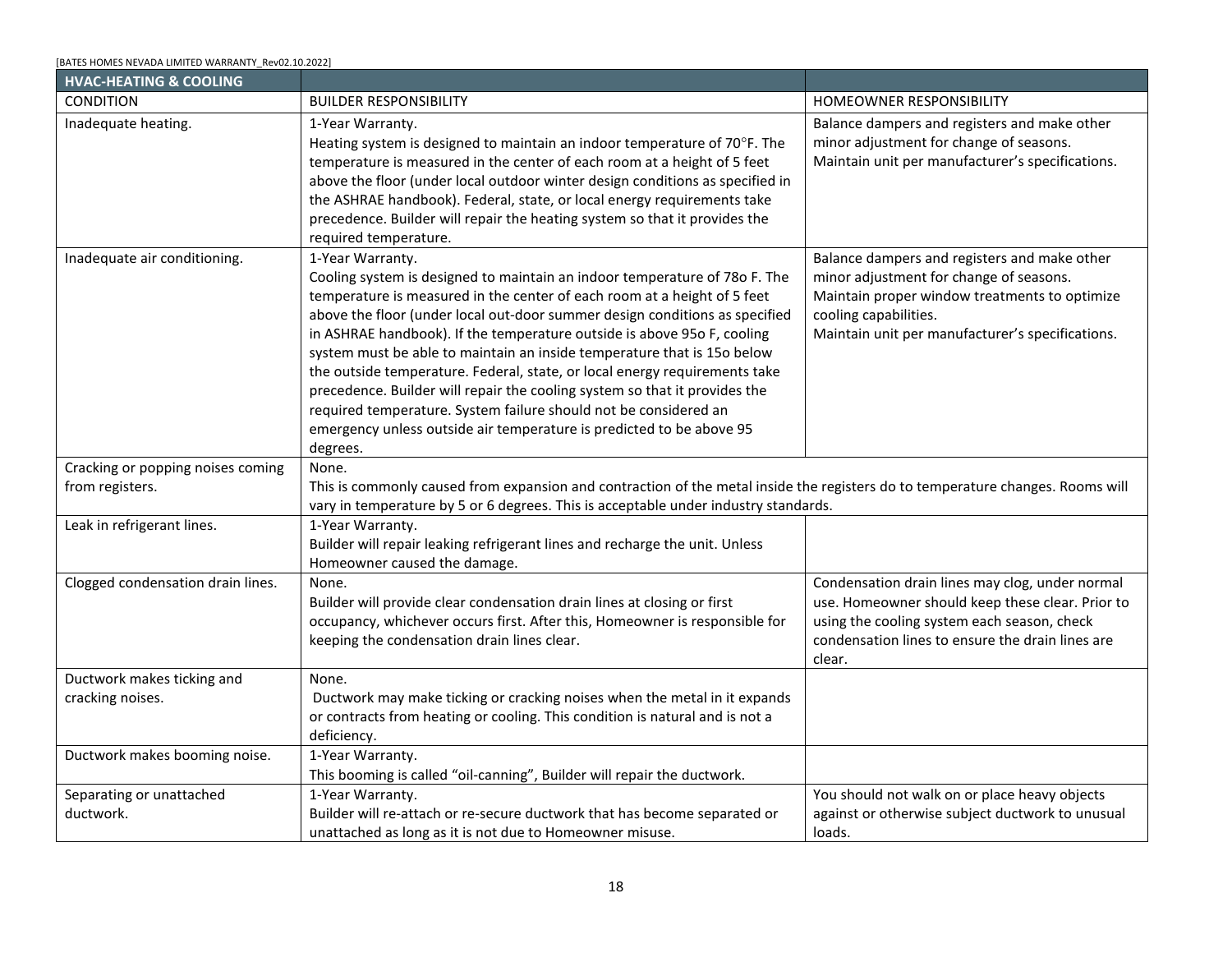| [BATES HOMES NEVADA LIMITED WARRANTY Rev02.10.2022] |  |
|-----------------------------------------------------|--|
|                                                     |  |

<span id="page-17-1"></span><span id="page-17-0"></span>

| <b>GRADING</b>                                                                                                                                               |                                                                                                                                                                                                                                                                                                                                                                                                                                                                                                                                                                                                                                                                                                                                                                                                                                                            |                                                                                                                                                                                                                                                                                                                                                                                                                                                                                                                                                                                                                                                                                               |
|--------------------------------------------------------------------------------------------------------------------------------------------------------------|------------------------------------------------------------------------------------------------------------------------------------------------------------------------------------------------------------------------------------------------------------------------------------------------------------------------------------------------------------------------------------------------------------------------------------------------------------------------------------------------------------------------------------------------------------------------------------------------------------------------------------------------------------------------------------------------------------------------------------------------------------------------------------------------------------------------------------------------------------|-----------------------------------------------------------------------------------------------------------------------------------------------------------------------------------------------------------------------------------------------------------------------------------------------------------------------------------------------------------------------------------------------------------------------------------------------------------------------------------------------------------------------------------------------------------------------------------------------------------------------------------------------------------------------------------------------|
| CONDITION                                                                                                                                                    | <b>BUILDER RESPONSIBILITY</b>                                                                                                                                                                                                                                                                                                                                                                                                                                                                                                                                                                                                                                                                                                                                                                                                                              | HOMEOWNER RESPONSIBILITY                                                                                                                                                                                                                                                                                                                                                                                                                                                                                                                                                                                                                                                                      |
| Settling of ground next to<br>foundation walls, utility trenches or<br>other filled areas shall not interfere<br>with water drainage away from the<br>house. | 1-Year Warranty (One Time in One Year). Upon request by the buyer, the<br>builder shall fill settled areas one-time-only during the warranty period.<br>When the fill is placed on the lot, the owner shall be responsible for affected<br>grass, shrubs or other landscaping.                                                                                                                                                                                                                                                                                                                                                                                                                                                                                                                                                                             | Should an adjustment be necessary by the builder,<br>the Homeowner shall be responsible for all<br>landscaping and structures affected by the<br>placement of the fill.                                                                                                                                                                                                                                                                                                                                                                                                                                                                                                                       |
| Improper drainage of the site.                                                                                                                               | 1-Year Warranty. Establish the proper grades and swales (sloped low areas)<br>for water to properly drain away from the Home. Where lot lines permit, the<br>protective slope will be 6 inches in 10 feet around the foundation. Water will<br>not stand or pond in crawl spaces. Water will not stand or pond within 10<br>feet of the home for extended periods after a rain (usually not more than 24<br>hours). For swales which drain other areas or where sump pumps discharge;<br>a longer time is not unusual (48 hours). It is normal for water to stand after a<br>heavy rainfall. Bates Homes will not make grading or ponding<br>determinations while there is frost or snow on the ground, or while the<br>ground is saturated or frozen. Bates Homes is not responsible for correcting<br>grades altered by Homeowner after close of escrow. | Maintain the grades and swales after they have<br>been properly established by Bates Homes.<br>Make sure established drainage patterns are not<br>impeded by landscaping, decking, patios, pools,<br>driveways, walls, etc. which you install. Do not<br>change the grade of the soil away from the<br>foundation by building planters, raised beds, or<br>other blocking construction. Damage caused by<br>changes in drainage and grading is not covered.<br>Where a sump pit has been installed but the sump<br>pump was not contracted for or installed by the<br>Builder, Homeowner must first install a properly<br>sized pump to determine whether this will correct<br>the condition. |
| <b>GUTTERS</b>                                                                                                                                               |                                                                                                                                                                                                                                                                                                                                                                                                                                                                                                                                                                                                                                                                                                                                                                                                                                                            |                                                                                                                                                                                                                                                                                                                                                                                                                                                                                                                                                                                                                                                                                               |
| <b>CONDITION</b>                                                                                                                                             | <b>BUILDER RESPONSIBILITY</b>                                                                                                                                                                                                                                                                                                                                                                                                                                                                                                                                                                                                                                                                                                                                                                                                                              | HOMEOWNER RESPONSIBILITY                                                                                                                                                                                                                                                                                                                                                                                                                                                                                                                                                                                                                                                                      |
| Gutters overflowing, damaged, not<br>working, blocked, hanging off<br>home, fallen off home.                                                                 | None.<br>Review gutters carefully at Final Walkthrough. These items are not covered<br>under this Warranty. Please report these to the Builder for repair at the Final<br>Walkthrough.                                                                                                                                                                                                                                                                                                                                                                                                                                                                                                                                                                                                                                                                     | Keep the gutters and downspouts clean and<br>unobstructed by tree limbs, leaves, snow, ice, balls,<br>trash, etc. Clogged gutters and leaders can lead to<br>leaks caused by ice damaging which is not<br>warrantable. During heavy rains, overflow should<br>be expected. Gutters are not covered under this<br>warranty.                                                                                                                                                                                                                                                                                                                                                                    |
| Standing water in gutters.                                                                                                                                   | 30-Day Warranty.<br>It is common practice to install gutters approximately level, resulting in small<br>amounts of water standing in gutter. If water is in excess of 1" after rain,<br>Builder will repair within the 30-Day Warranty Period.                                                                                                                                                                                                                                                                                                                                                                                                                                                                                                                                                                                                             | Standing water in excess of 1" should be looked<br>into for maintenance.<br>Keep leaves and debris out of gutters to allow<br>water to flow properly.                                                                                                                                                                                                                                                                                                                                                                                                                                                                                                                                         |
| Leaks in gutters.                                                                                                                                            | None.<br>Gutters and downspouts may overflow in heavy rains.                                                                                                                                                                                                                                                                                                                                                                                                                                                                                                                                                                                                                                                                                                                                                                                               | Do not lean ladders against gutters and<br>downspouts. Keep leaves and debris out of gutters<br>to allow water to flow properly.                                                                                                                                                                                                                                                                                                                                                                                                                                                                                                                                                              |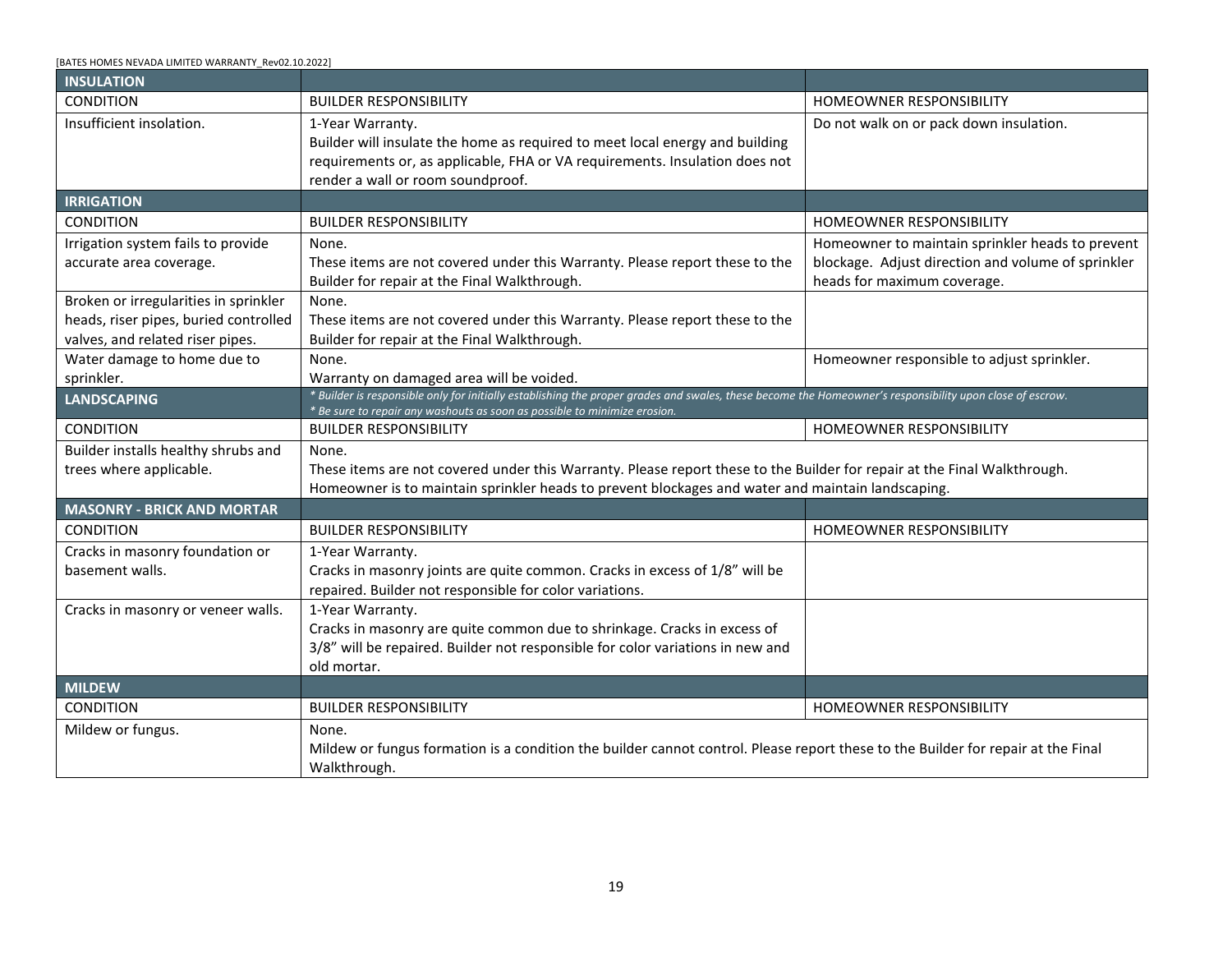#### [BATES HOMES NEVADA LIMITED WARRANTY\_Rev02.10.2022]

<span id="page-18-0"></span>

| <b>HVAC-HEATING &amp; COOLING</b>                    |                                                                                                                                                                                                                                                                                                                                                                                                                                                                                                                                                                                                                                                                                                                                     |                                                                                                                                                                                                                       |  |  |  |
|------------------------------------------------------|-------------------------------------------------------------------------------------------------------------------------------------------------------------------------------------------------------------------------------------------------------------------------------------------------------------------------------------------------------------------------------------------------------------------------------------------------------------------------------------------------------------------------------------------------------------------------------------------------------------------------------------------------------------------------------------------------------------------------------------|-----------------------------------------------------------------------------------------------------------------------------------------------------------------------------------------------------------------------|--|--|--|
| <b>CONDITION</b>                                     | <b>BUILDER RESPONSIBILITY</b>                                                                                                                                                                                                                                                                                                                                                                                                                                                                                                                                                                                                                                                                                                       | <b>HOMEOWNER RESPONSIBILITY</b>                                                                                                                                                                                       |  |  |  |
| Inadequate heating.                                  | 1-Year Warranty.<br>Heating system is designed to maintain an indoor temperature of 70°F. The<br>temperature is measured in the center of each room at a height of 5 feet<br>above the floor (under local outdoor winter design conditions as specified in<br>the ASHRAE handbook). Federal, state, or local energy requirements take<br>precedence. Builder will repair the heating system so that it provides the<br>required temperature.                                                                                                                                                                                                                                                                                        | Balance dampers and registers and make other<br>minor adjustment for change of seasons.<br>Maintain unit per manufacturer's specifications.                                                                           |  |  |  |
| Inadequate air conditioning.                         | 1-Year Warranty.<br>Cooling system is designed to maintain an indoor temperature of 780 F. The<br>temperature is measured in the center of each room at a height of 5 feet<br>above the floor (under local out-door summer design conditions as specified<br>in ASHRAE handbook). If the temperature outside is above 950 F, cooling<br>system must be able to maintain an inside temperature that is 150 below<br>the outside temperature. Federal, state, or local energy requirements take<br>precedence. Builder will repair the cooling system so that it provides the<br>required temperature. System failure should not be considered an<br>emergency unless outside air temperature is predicted to be above 95<br>degrees. | Balance dampers and registers and make other<br>minor adjustment for change of seasons.<br>Maintain proper window treatments to optimize<br>cooling capabilities.<br>Maintain unit per manufacturer's specifications. |  |  |  |
| Cracking or popping noises coming<br>from registers. | None.<br>This is commonly caused from expansion and contraction of the metal inside the registers do to temperature changes. Rooms will<br>vary in temperature by 5 or 6 degrees. This is acceptable under industry standards.                                                                                                                                                                                                                                                                                                                                                                                                                                                                                                      |                                                                                                                                                                                                                       |  |  |  |
| Leak in refrigerant lines.                           | 1-Year Warranty.<br>Builder will repair leaking refrigerant lines and recharge the unit. Unless<br>Homeowner caused the damage.                                                                                                                                                                                                                                                                                                                                                                                                                                                                                                                                                                                                     |                                                                                                                                                                                                                       |  |  |  |
| Clogged condensation drain lines.                    | None.<br>Builder will provide clear condensation drain lines at closing or first<br>occupancy, whichever occurs first. After this, Homeowner is responsible for<br>keeping the condensation drain lines clear.                                                                                                                                                                                                                                                                                                                                                                                                                                                                                                                      | Condensation drain lines may clog, under normal<br>use. Homeowner should keep these clear. Prior to<br>using the cooling system each season, check<br>condensation lines to ensure the drain lines are<br>clear.      |  |  |  |
| Ductwork makes ticking and<br>cracking noises.       | None.<br>Ductwork may make ticking or cracking noises when the metal in it expands<br>or contracts from heating or cooling. This condition is natural and is not a<br>deficiency.                                                                                                                                                                                                                                                                                                                                                                                                                                                                                                                                                   |                                                                                                                                                                                                                       |  |  |  |
| Ductwork makes booming noise.                        | 1-Year Warranty.<br>This booming is called "oil-canning", Builder will repair the ductwork.                                                                                                                                                                                                                                                                                                                                                                                                                                                                                                                                                                                                                                         |                                                                                                                                                                                                                       |  |  |  |
| Separating or unattached<br>ductwork.                | 1-Year Warranty.<br>Builder will re-attach or re-secure ductwork that has become separated or<br>unattached as long as it is not due to Homeowner misuse.                                                                                                                                                                                                                                                                                                                                                                                                                                                                                                                                                                           | You should not walk on or place heavy objects<br>against or otherwise subject ductwork to unusual<br>loads.                                                                                                           |  |  |  |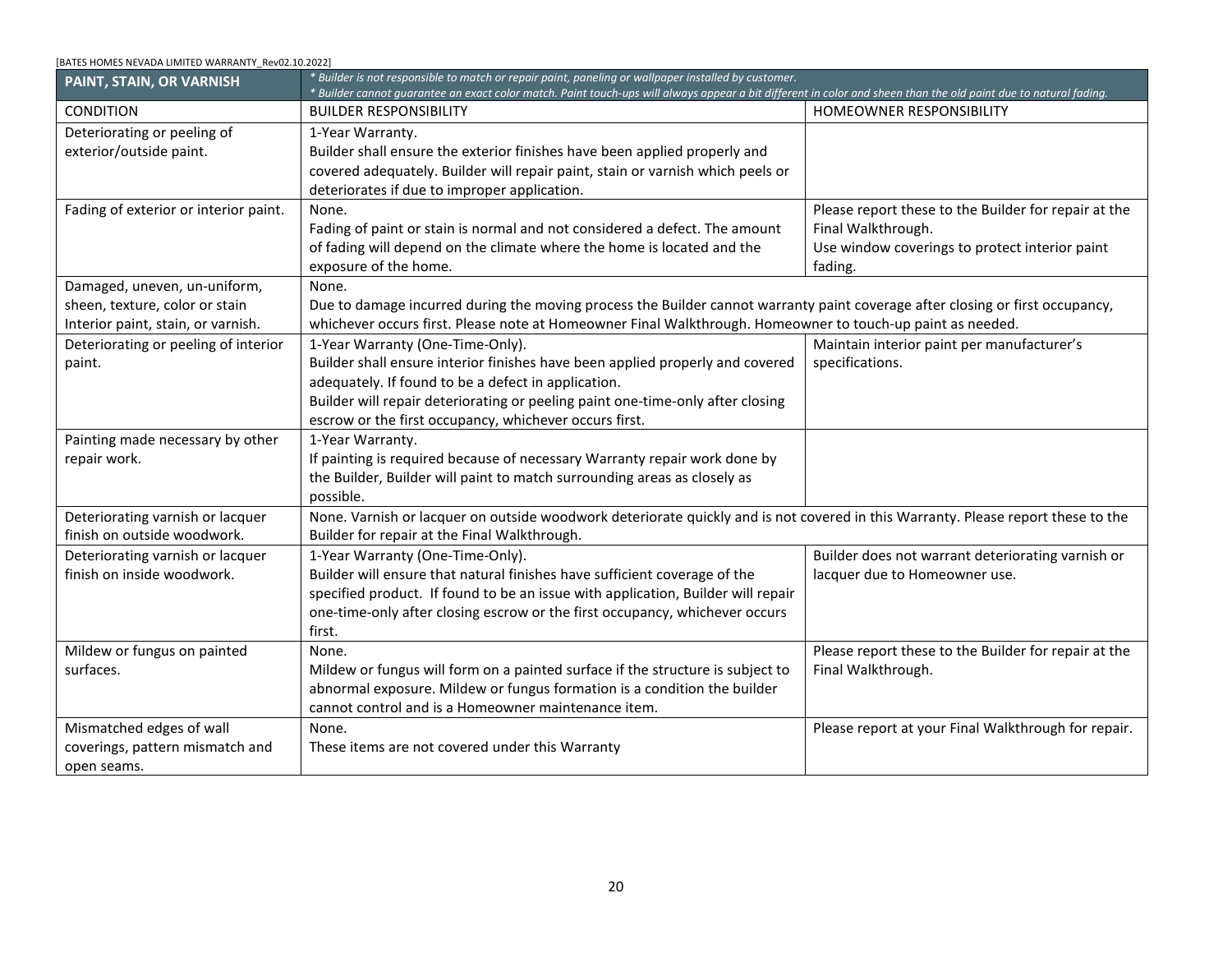<span id="page-19-4"></span><span id="page-19-3"></span><span id="page-19-2"></span><span id="page-19-1"></span><span id="page-19-0"></span>

| BATES HOMES NEVADA LIMITED WARRANTY Rev02.10.2022]                                                                 |                                                                                                                                                                                                                                        |                                                                                                                                       |
|--------------------------------------------------------------------------------------------------------------------|----------------------------------------------------------------------------------------------------------------------------------------------------------------------------------------------------------------------------------------|---------------------------------------------------------------------------------------------------------------------------------------|
| <b>INSULATION</b>                                                                                                  |                                                                                                                                                                                                                                        |                                                                                                                                       |
| CONDITION                                                                                                          | <b>BUILDER RESPONSIBILITY</b>                                                                                                                                                                                                          | <b>HOMEOWNER RESPONSIBILITY</b>                                                                                                       |
| Insufficient insolation.                                                                                           | 1-Year Warranty.<br>Builder will insulate the home as required to meet local energy and building<br>requirements or, as applicable, FHA or VA requirements. Insulation does not<br>render a wall or room soundproof.                   | Do not walk on or pack down insulation.                                                                                               |
| <b>IRRIGATION</b>                                                                                                  |                                                                                                                                                                                                                                        |                                                                                                                                       |
| <b>CONDITION</b>                                                                                                   | <b>BUILDER RESPONSIBILITY</b>                                                                                                                                                                                                          | <b>HOMEOWNER RESPONSIBILITY</b>                                                                                                       |
| Irrigation system fails to provide<br>accurate area coverage.                                                      | None.<br>These items are not covered under this Warranty. Please report these to the<br>Builder for repair at the Final Walkthrough.                                                                                                   | Homeowner to maintain sprinkler heads to prevent<br>blockage. Adjust direction and volume of sprinkler<br>heads for maximum coverage. |
| Broken or irregularities in sprinkler<br>heads, riser pipes, buried controlled<br>valves, and related riser pipes. | None.<br>These items are not covered under this Warranty. Please report these to the<br>Builder for repair at the Final Walkthrough.                                                                                                   |                                                                                                                                       |
| Water damage to home due to<br>sprinkler.                                                                          | None.<br>Warranty on damaged area will be voided.                                                                                                                                                                                      | Homeowner responsible to adjust sprinkler.                                                                                            |
| <b>LANDSCAPING</b>                                                                                                 | * Builder is responsible only for initially establishing the proper grades and swales, these become the Homeowner's responsibility upon close of escrow.<br>* Be sure to repair any washouts as soon as possible to minimize erosion.  |                                                                                                                                       |
| CONDITION                                                                                                          | <b>BUILDER RESPONSIBILITY</b>                                                                                                                                                                                                          | <b>HOMEOWNER RESPONSIBILITY</b>                                                                                                       |
| Builder installs healthy shrubs and<br>trees where applicable.                                                     | None.<br>These items are not covered under this Warranty. Please report these to the Builder for repair at the Final Walkthrough.<br>Homeowner is to maintain sprinkler heads to prevent blockages and water and maintain landscaping. |                                                                                                                                       |
| <b>MASONRY - BRICK AND MORTAR</b>                                                                                  |                                                                                                                                                                                                                                        |                                                                                                                                       |
| CONDITION                                                                                                          | <b>BUILDER RESPONSIBILITY</b>                                                                                                                                                                                                          | HOMEOWNER RESPONSIBILITY                                                                                                              |
| Cracks in masonry foundation or<br>basement walls.                                                                 | 1-Year Warranty.<br>Cracks in masonry joints are quite common. Cracks in excess of 1/8" will be<br>repaired. Builder not responsible for color variations.                                                                             |                                                                                                                                       |
| Cracks in masonry or veneer walls.                                                                                 | 1-Year Warranty.<br>Cracks in masonry are quite common due to shrinkage. Cracks in excess of<br>3/8" will be repaired. Builder not responsible for color variations in new and<br>old mortar.                                          |                                                                                                                                       |
| <b>MILDEW</b>                                                                                                      |                                                                                                                                                                                                                                        |                                                                                                                                       |
| CONDITION                                                                                                          | <b>BUILDER RESPONSIBILITY</b>                                                                                                                                                                                                          | HOMEOWNER RESPONSIBILITY                                                                                                              |
| Mildew or fungus.                                                                                                  | None.<br>Mildew or fungus formation is a condition the builder cannot control. Please report these to the Builder for repair at the Final<br>Walkthrough.                                                                              |                                                                                                                                       |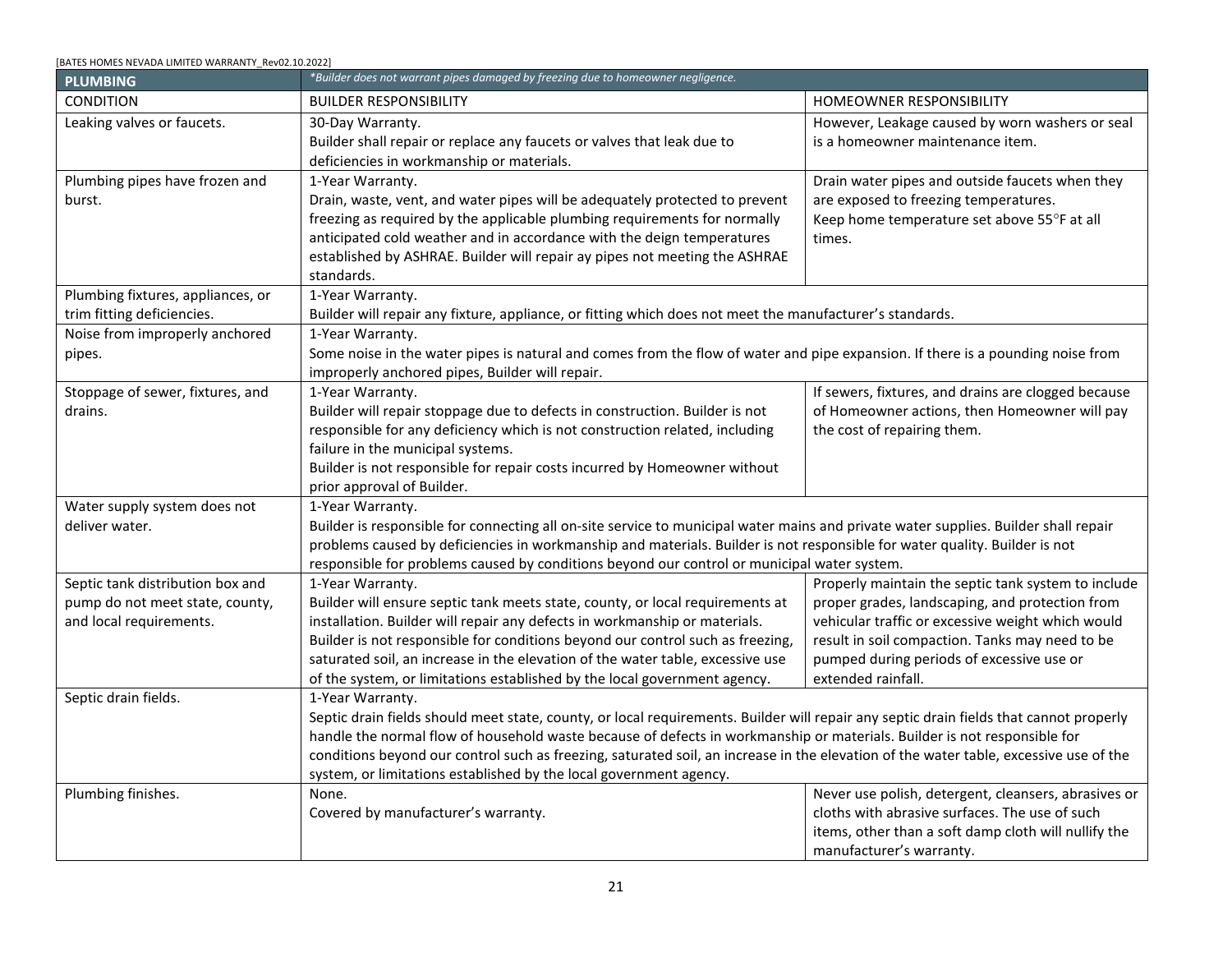<span id="page-20-0"></span>

| [BATES HOMES NEVADA LIMITED WARRANTY Rev02.10.2022] |                                                                                                                                                                                                                                                                         |                                                      |
|-----------------------------------------------------|-------------------------------------------------------------------------------------------------------------------------------------------------------------------------------------------------------------------------------------------------------------------------|------------------------------------------------------|
| PAINT, STAIN, OR VARNISH                            | * Builder is not responsible to match or repair paint, paneling or wallpaper installed by customer.<br>* Builder cannot guarantee an exact color match. Paint touch-ups will always appear a bit different in color and sheen than the old paint due to natural fading. |                                                      |
| <b>CONDITION</b>                                    | <b>BUILDER RESPONSIBILITY</b>                                                                                                                                                                                                                                           | HOMEOWNER RESPONSIBILITY                             |
| Deteriorating or peeling of                         | 1-Year Warranty.                                                                                                                                                                                                                                                        |                                                      |
| exterior/outside paint.                             | Builder shall ensure the exterior finishes have been applied properly and                                                                                                                                                                                               |                                                      |
|                                                     | covered adequately. Builder will repair paint, stain or varnish which peels or                                                                                                                                                                                          |                                                      |
|                                                     | deteriorates if due to improper application.                                                                                                                                                                                                                            |                                                      |
| Fading of exterior or interior paint.               | None.                                                                                                                                                                                                                                                                   | Please report these to the Builder for repair at the |
|                                                     | Fading of paint or stain is normal and not considered a defect. The amount                                                                                                                                                                                              | Final Walkthrough.                                   |
|                                                     | of fading will depend on the climate where the home is located and the                                                                                                                                                                                                  | Use window coverings to protect interior paint       |
|                                                     | exposure of the home.                                                                                                                                                                                                                                                   | fading.                                              |
| Damaged, uneven, un-uniform,                        | None.                                                                                                                                                                                                                                                                   |                                                      |
| sheen, texture, color or stain                      | Due to damage incurred during the moving process the Builder cannot warranty paint coverage after closing or first occupancy,                                                                                                                                           |                                                      |
| Interior paint, stain, or varnish.                  | whichever occurs first. Please note at Homeowner Final Walkthrough. Homeowner to touch-up paint as needed.                                                                                                                                                              |                                                      |
| Deteriorating or peeling of interior                | 1-Year Warranty (One-Time-Only).                                                                                                                                                                                                                                        | Maintain interior paint per manufacturer's           |
| paint.                                              | Builder shall ensure interior finishes have been applied properly and covered                                                                                                                                                                                           | specifications.                                      |
|                                                     | adequately. If found to be a defect in application.                                                                                                                                                                                                                     |                                                      |
|                                                     | Builder will repair deteriorating or peeling paint one-time-only after closing                                                                                                                                                                                          |                                                      |
|                                                     | escrow or the first occupancy, whichever occurs first.                                                                                                                                                                                                                  |                                                      |
| Painting made necessary by other                    | 1-Year Warranty.                                                                                                                                                                                                                                                        |                                                      |
| repair work.                                        | If painting is required because of necessary Warranty repair work done by                                                                                                                                                                                               |                                                      |
|                                                     | the Builder, Builder will paint to match surrounding areas as closely as                                                                                                                                                                                                |                                                      |
|                                                     | possible.                                                                                                                                                                                                                                                               |                                                      |
| Deteriorating varnish or lacquer                    | None. Varnish or lacquer on outside woodwork deteriorate quickly and is not covered in this Warranty. Please report these to the                                                                                                                                        |                                                      |
| finish on outside woodwork.                         | Builder for repair at the Final Walkthrough.                                                                                                                                                                                                                            |                                                      |
| Deteriorating varnish or lacquer                    | 1-Year Warranty (One-Time-Only).                                                                                                                                                                                                                                        | Builder does not warrant deteriorating varnish or    |
| finish on inside woodwork.                          | Builder will ensure that natural finishes have sufficient coverage of the                                                                                                                                                                                               | lacquer due to Homeowner use.                        |
|                                                     | specified product. If found to be an issue with application, Builder will repair                                                                                                                                                                                        |                                                      |
|                                                     | one-time-only after closing escrow or the first occupancy, whichever occurs                                                                                                                                                                                             |                                                      |
|                                                     | first.                                                                                                                                                                                                                                                                  |                                                      |
| Mildew or fungus on painted                         | None.                                                                                                                                                                                                                                                                   | Please report these to the Builder for repair at the |
| surfaces.                                           | Mildew or fungus will form on a painted surface if the structure is subject to                                                                                                                                                                                          | Final Walkthrough.                                   |
|                                                     | abnormal exposure. Mildew or fungus formation is a condition the builder                                                                                                                                                                                                |                                                      |
|                                                     | cannot control and is a Homeowner maintenance item.                                                                                                                                                                                                                     |                                                      |
| Mismatched edges of wall                            | None.                                                                                                                                                                                                                                                                   | Please report at your Final Walkthrough for repair.  |
| coverings, pattern mismatch and                     | These items are not covered under this Warranty                                                                                                                                                                                                                         |                                                      |
| open seams.                                         |                                                                                                                                                                                                                                                                         |                                                      |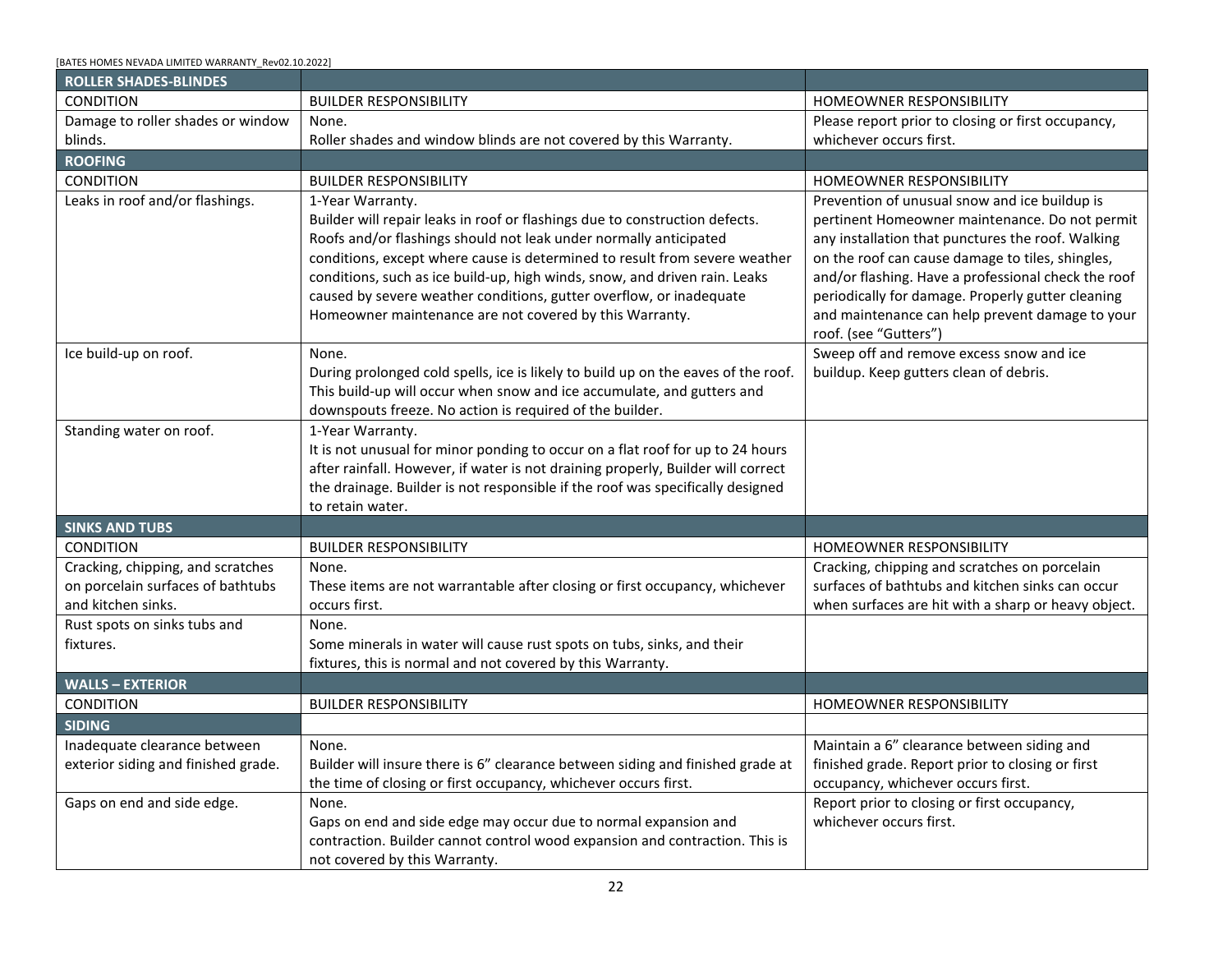<span id="page-21-0"></span>

| [BATES HOMES NEVADA LIMITED WARRANTY Rev02.10.2022]                                            |                                                                                                                                                                                                                                                                                                                                                                                                                                                                                                       |                                                                                                                                                                                                                                                                                   |  |  |
|------------------------------------------------------------------------------------------------|-------------------------------------------------------------------------------------------------------------------------------------------------------------------------------------------------------------------------------------------------------------------------------------------------------------------------------------------------------------------------------------------------------------------------------------------------------------------------------------------------------|-----------------------------------------------------------------------------------------------------------------------------------------------------------------------------------------------------------------------------------------------------------------------------------|--|--|
| <b>PLUMBING</b>                                                                                | *Builder does not warrant pipes damaged by freezing due to homeowner negligence.                                                                                                                                                                                                                                                                                                                                                                                                                      |                                                                                                                                                                                                                                                                                   |  |  |
| <b>CONDITION</b>                                                                               | <b>BUILDER RESPONSIBILITY</b>                                                                                                                                                                                                                                                                                                                                                                                                                                                                         | <b>HOMEOWNER RESPONSIBILITY</b>                                                                                                                                                                                                                                                   |  |  |
| Leaking valves or faucets.                                                                     | 30-Day Warranty.<br>Builder shall repair or replace any faucets or valves that leak due to<br>deficiencies in workmanship or materials.                                                                                                                                                                                                                                                                                                                                                               | However, Leakage caused by worn washers or seal<br>is a homeowner maintenance item.                                                                                                                                                                                               |  |  |
| Plumbing pipes have frozen and<br>burst.                                                       | 1-Year Warranty.<br>Drain, waste, vent, and water pipes will be adequately protected to prevent<br>freezing as required by the applicable plumbing requirements for normally<br>anticipated cold weather and in accordance with the deign temperatures<br>established by ASHRAE. Builder will repair ay pipes not meeting the ASHRAE<br>standards.                                                                                                                                                    | Drain water pipes and outside faucets when they<br>are exposed to freezing temperatures.<br>Keep home temperature set above 55°F at all<br>times.                                                                                                                                 |  |  |
| Plumbing fixtures, appliances, or<br>trim fitting deficiencies.                                | 1-Year Warranty.<br>Builder will repair any fixture, appliance, or fitting which does not meet the manufacturer's standards.                                                                                                                                                                                                                                                                                                                                                                          |                                                                                                                                                                                                                                                                                   |  |  |
| Noise from improperly anchored<br>pipes.                                                       | 1-Year Warranty.<br>Some noise in the water pipes is natural and comes from the flow of water and pipe expansion. If there is a pounding noise from<br>improperly anchored pipes, Builder will repair.                                                                                                                                                                                                                                                                                                |                                                                                                                                                                                                                                                                                   |  |  |
| Stoppage of sewer, fixtures, and<br>drains.                                                    | 1-Year Warranty.<br>Builder will repair stoppage due to defects in construction. Builder is not<br>responsible for any deficiency which is not construction related, including<br>failure in the municipal systems.<br>Builder is not responsible for repair costs incurred by Homeowner without<br>prior approval of Builder.                                                                                                                                                                        | If sewers, fixtures, and drains are clogged because<br>of Homeowner actions, then Homeowner will pay<br>the cost of repairing them.                                                                                                                                               |  |  |
| Water supply system does not<br>deliver water.                                                 | 1-Year Warranty.<br>Builder is responsible for connecting all on-site service to municipal water mains and private water supplies. Builder shall repair<br>problems caused by deficiencies in workmanship and materials. Builder is not responsible for water quality. Builder is not<br>responsible for problems caused by conditions beyond our control or municipal water system.                                                                                                                  |                                                                                                                                                                                                                                                                                   |  |  |
| Septic tank distribution box and<br>pump do not meet state, county,<br>and local requirements. | 1-Year Warranty.<br>Builder will ensure septic tank meets state, county, or local requirements at<br>installation. Builder will repair any defects in workmanship or materials.<br>Builder is not responsible for conditions beyond our control such as freezing,<br>saturated soil, an increase in the elevation of the water table, excessive use<br>of the system, or limitations established by the local government agency.                                                                      | Properly maintain the septic tank system to include<br>proper grades, landscaping, and protection from<br>vehicular traffic or excessive weight which would<br>result in soil compaction. Tanks may need to be<br>pumped during periods of excessive use or<br>extended rainfall. |  |  |
| Septic drain fields.                                                                           | 1-Year Warranty.<br>Septic drain fields should meet state, county, or local requirements. Builder will repair any septic drain fields that cannot properly<br>handle the normal flow of household waste because of defects in workmanship or materials. Builder is not responsible for<br>conditions beyond our control such as freezing, saturated soil, an increase in the elevation of the water table, excessive use of the<br>system, or limitations established by the local government agency. |                                                                                                                                                                                                                                                                                   |  |  |
| Plumbing finishes.                                                                             | None.<br>Covered by manufacturer's warranty.                                                                                                                                                                                                                                                                                                                                                                                                                                                          | Never use polish, detergent, cleansers, abrasives or<br>cloths with abrasive surfaces. The use of such<br>items, other than a soft damp cloth will nullify the<br>manufacturer's warranty.                                                                                        |  |  |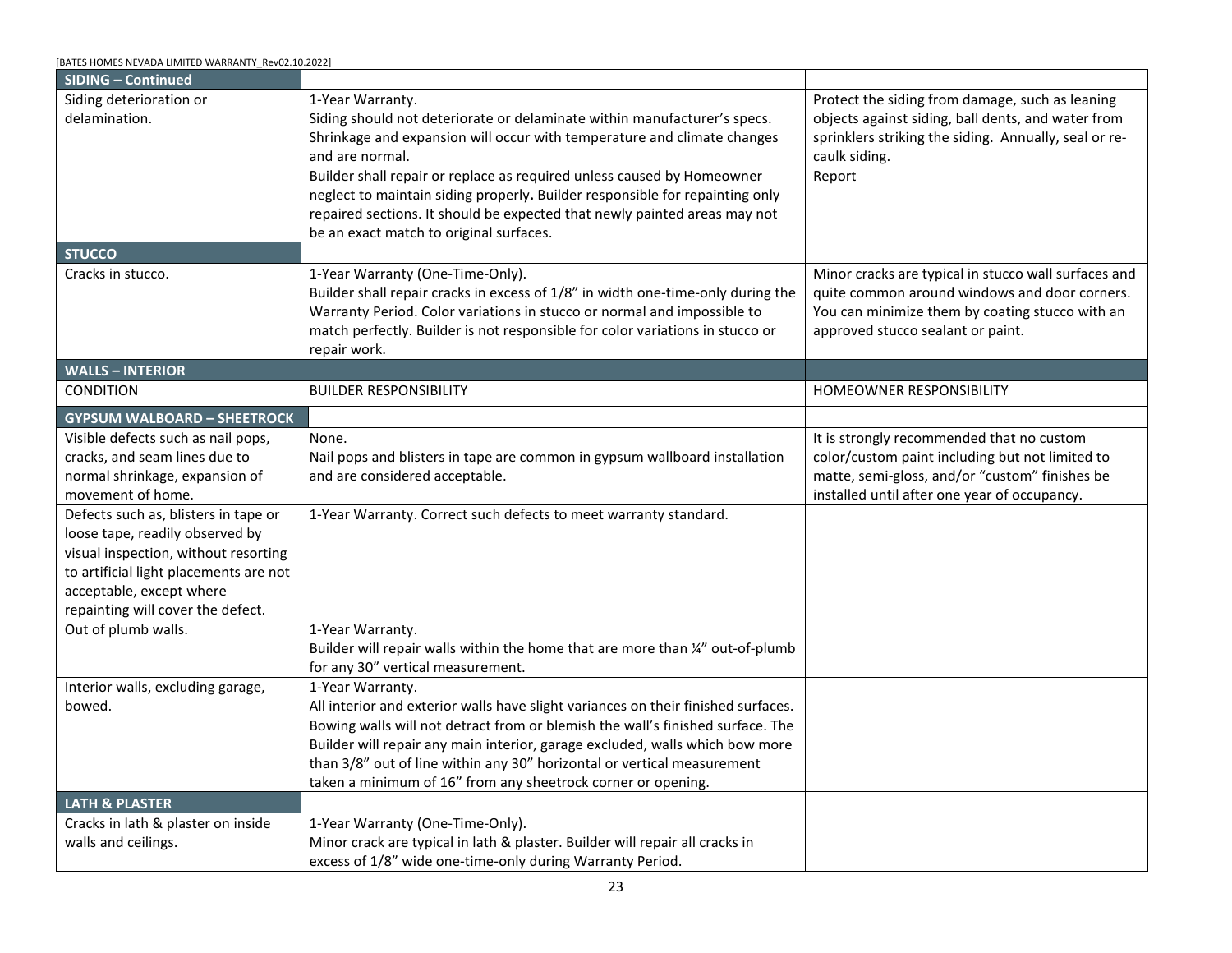| [BATES HOMES NEVADA LIMITED WARRANTY Rev02.10.2022] |
|-----------------------------------------------------|
|-----------------------------------------------------|

<span id="page-22-4"></span><span id="page-22-3"></span><span id="page-22-2"></span><span id="page-22-1"></span><span id="page-22-0"></span>

| <b>ROLLER SHADES-BLINDES</b>                                                                 |                                                                                                                                                                                                                                                                                                                                                                                                                                                                    |                                                                                                                                                                                                                                                                                                                                                                                                  |
|----------------------------------------------------------------------------------------------|--------------------------------------------------------------------------------------------------------------------------------------------------------------------------------------------------------------------------------------------------------------------------------------------------------------------------------------------------------------------------------------------------------------------------------------------------------------------|--------------------------------------------------------------------------------------------------------------------------------------------------------------------------------------------------------------------------------------------------------------------------------------------------------------------------------------------------------------------------------------------------|
| <b>CONDITION</b>                                                                             | <b>BUILDER RESPONSIBILITY</b>                                                                                                                                                                                                                                                                                                                                                                                                                                      | HOMEOWNER RESPONSIBILITY                                                                                                                                                                                                                                                                                                                                                                         |
| Damage to roller shades or window                                                            | None.                                                                                                                                                                                                                                                                                                                                                                                                                                                              | Please report prior to closing or first occupancy,                                                                                                                                                                                                                                                                                                                                               |
| blinds.                                                                                      | Roller shades and window blinds are not covered by this Warranty.                                                                                                                                                                                                                                                                                                                                                                                                  | whichever occurs first.                                                                                                                                                                                                                                                                                                                                                                          |
| <b>ROOFING</b>                                                                               |                                                                                                                                                                                                                                                                                                                                                                                                                                                                    |                                                                                                                                                                                                                                                                                                                                                                                                  |
| <b>CONDITION</b>                                                                             | <b>BUILDER RESPONSIBILITY</b>                                                                                                                                                                                                                                                                                                                                                                                                                                      | <b>HOMEOWNER RESPONSIBILITY</b>                                                                                                                                                                                                                                                                                                                                                                  |
| Leaks in roof and/or flashings.                                                              | 1-Year Warranty.<br>Builder will repair leaks in roof or flashings due to construction defects.<br>Roofs and/or flashings should not leak under normally anticipated<br>conditions, except where cause is determined to result from severe weather<br>conditions, such as ice build-up, high winds, snow, and driven rain. Leaks<br>caused by severe weather conditions, gutter overflow, or inadequate<br>Homeowner maintenance are not covered by this Warranty. | Prevention of unusual snow and ice buildup is<br>pertinent Homeowner maintenance. Do not permit<br>any installation that punctures the roof. Walking<br>on the roof can cause damage to tiles, shingles,<br>and/or flashing. Have a professional check the roof<br>periodically for damage. Properly gutter cleaning<br>and maintenance can help prevent damage to your<br>roof. (see "Gutters") |
| Ice build-up on roof.                                                                        | None.<br>During prolonged cold spells, ice is likely to build up on the eaves of the roof.<br>This build-up will occur when snow and ice accumulate, and gutters and<br>downspouts freeze. No action is required of the builder.                                                                                                                                                                                                                                   | Sweep off and remove excess snow and ice<br>buildup. Keep gutters clean of debris.                                                                                                                                                                                                                                                                                                               |
| Standing water on roof.                                                                      | 1-Year Warranty.<br>It is not unusual for minor ponding to occur on a flat roof for up to 24 hours<br>after rainfall. However, if water is not draining properly, Builder will correct<br>the drainage. Builder is not responsible if the roof was specifically designed<br>to retain water.                                                                                                                                                                       |                                                                                                                                                                                                                                                                                                                                                                                                  |
| <b>SINKS AND TUBS</b>                                                                        |                                                                                                                                                                                                                                                                                                                                                                                                                                                                    |                                                                                                                                                                                                                                                                                                                                                                                                  |
| <b>CONDITION</b>                                                                             | <b>BUILDER RESPONSIBILITY</b>                                                                                                                                                                                                                                                                                                                                                                                                                                      | HOMEOWNER RESPONSIBILITY                                                                                                                                                                                                                                                                                                                                                                         |
| Cracking, chipping, and scratches<br>on porcelain surfaces of bathtubs<br>and kitchen sinks. | None.<br>These items are not warrantable after closing or first occupancy, whichever<br>occurs first.                                                                                                                                                                                                                                                                                                                                                              | Cracking, chipping and scratches on porcelain<br>surfaces of bathtubs and kitchen sinks can occur<br>when surfaces are hit with a sharp or heavy object.                                                                                                                                                                                                                                         |
| Rust spots on sinks tubs and<br>fixtures.                                                    | None.<br>Some minerals in water will cause rust spots on tubs, sinks, and their<br>fixtures, this is normal and not covered by this Warranty.                                                                                                                                                                                                                                                                                                                      |                                                                                                                                                                                                                                                                                                                                                                                                  |
| <b>WALLS - EXTERIOR</b>                                                                      |                                                                                                                                                                                                                                                                                                                                                                                                                                                                    |                                                                                                                                                                                                                                                                                                                                                                                                  |
| CONDITION                                                                                    | <b>BUILDER RESPONSIBILITY</b>                                                                                                                                                                                                                                                                                                                                                                                                                                      | HOMEOWNER RESPONSIBILITY                                                                                                                                                                                                                                                                                                                                                                         |
| <b>SIDING</b>                                                                                |                                                                                                                                                                                                                                                                                                                                                                                                                                                                    |                                                                                                                                                                                                                                                                                                                                                                                                  |
| Inadequate clearance between<br>exterior siding and finished grade.                          | None.<br>Builder will insure there is 6" clearance between siding and finished grade at<br>the time of closing or first occupancy, whichever occurs first.                                                                                                                                                                                                                                                                                                         | Maintain a 6" clearance between siding and<br>finished grade. Report prior to closing or first<br>occupancy, whichever occurs first.                                                                                                                                                                                                                                                             |
| Gaps on end and side edge.                                                                   | None.<br>Gaps on end and side edge may occur due to normal expansion and<br>contraction. Builder cannot control wood expansion and contraction. This is<br>not covered by this Warranty.                                                                                                                                                                                                                                                                           | Report prior to closing or first occupancy,<br>whichever occurs first.                                                                                                                                                                                                                                                                                                                           |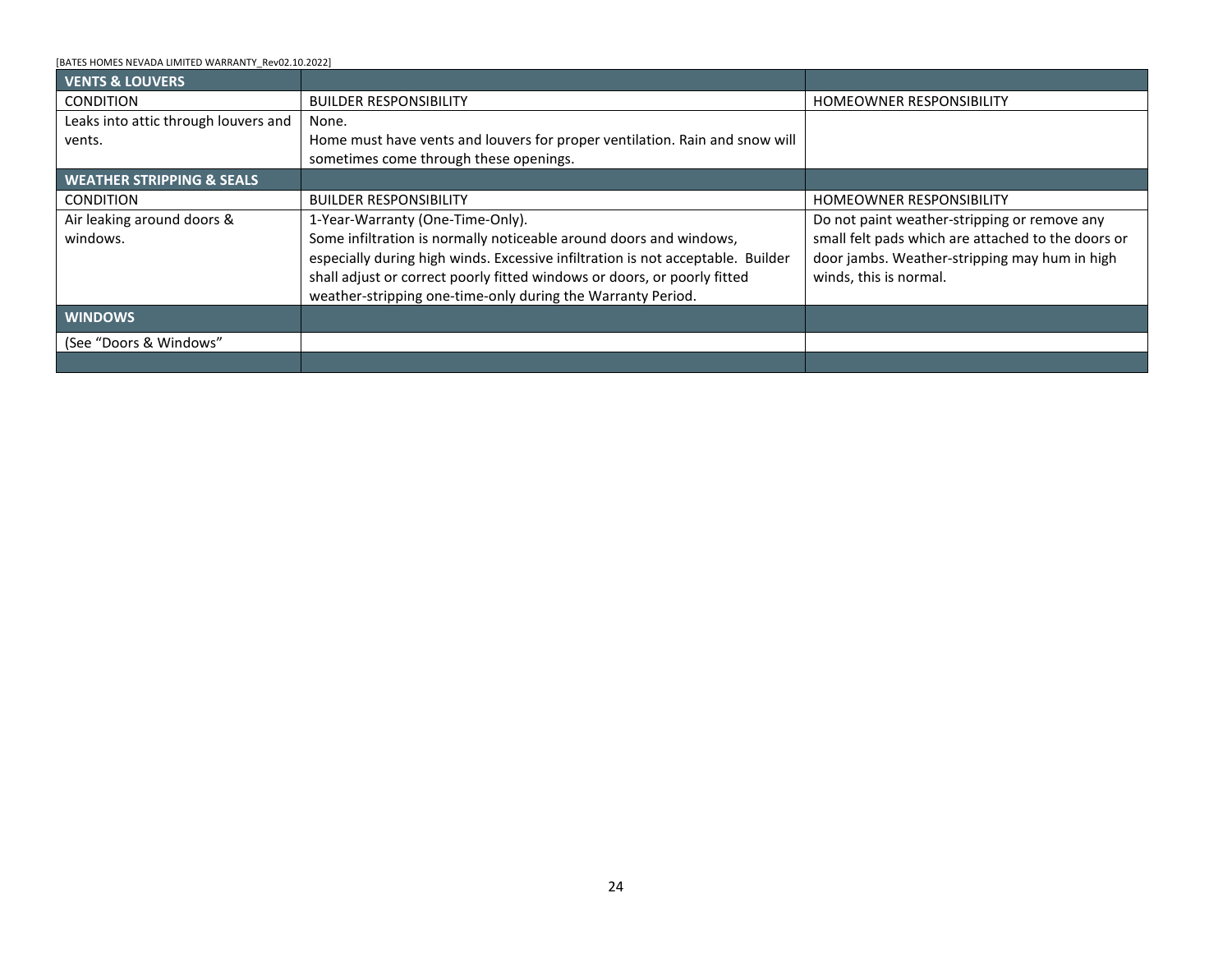<span id="page-23-3"></span><span id="page-23-2"></span><span id="page-23-1"></span><span id="page-23-0"></span>

| BATES HOMES NEVADA LIMITED WARRANTY Rev02.10.2022]                                                                                                                                                                         |                                                                                                                                                                                                                                                                                                                                                                                                                                                                              |                                                                                                                                                                                                |
|----------------------------------------------------------------------------------------------------------------------------------------------------------------------------------------------------------------------------|------------------------------------------------------------------------------------------------------------------------------------------------------------------------------------------------------------------------------------------------------------------------------------------------------------------------------------------------------------------------------------------------------------------------------------------------------------------------------|------------------------------------------------------------------------------------------------------------------------------------------------------------------------------------------------|
| <b>SIDING - Continued</b>                                                                                                                                                                                                  |                                                                                                                                                                                                                                                                                                                                                                                                                                                                              |                                                                                                                                                                                                |
| Siding deterioration or<br>delamination.<br><b>STUCCO</b>                                                                                                                                                                  | 1-Year Warranty.<br>Siding should not deteriorate or delaminate within manufacturer's specs.<br>Shrinkage and expansion will occur with temperature and climate changes<br>and are normal.<br>Builder shall repair or replace as required unless caused by Homeowner<br>neglect to maintain siding properly. Builder responsible for repainting only<br>repaired sections. It should be expected that newly painted areas may not<br>be an exact match to original surfaces. | Protect the siding from damage, such as leaning<br>objects against siding, ball dents, and water from<br>sprinklers striking the siding. Annually, seal or re-<br>caulk siding.<br>Report      |
| Cracks in stucco.                                                                                                                                                                                                          | 1-Year Warranty (One-Time-Only).<br>Builder shall repair cracks in excess of 1/8" in width one-time-only during the<br>Warranty Period. Color variations in stucco or normal and impossible to<br>match perfectly. Builder is not responsible for color variations in stucco or<br>repair work.                                                                                                                                                                              | Minor cracks are typical in stucco wall surfaces and<br>quite common around windows and door corners.<br>You can minimize them by coating stucco with an<br>approved stucco sealant or paint.  |
| <b>WALLS - INTERIOR</b>                                                                                                                                                                                                    |                                                                                                                                                                                                                                                                                                                                                                                                                                                                              |                                                                                                                                                                                                |
| <b>CONDITION</b>                                                                                                                                                                                                           | <b>BUILDER RESPONSIBILITY</b>                                                                                                                                                                                                                                                                                                                                                                                                                                                | HOMEOWNER RESPONSIBILITY                                                                                                                                                                       |
| <b>GYPSUM WALBOARD - SHEETROCK</b>                                                                                                                                                                                         |                                                                                                                                                                                                                                                                                                                                                                                                                                                                              |                                                                                                                                                                                                |
| Visible defects such as nail pops,<br>cracks, and seam lines due to<br>normal shrinkage, expansion of<br>movement of home.                                                                                                 | None.<br>Nail pops and blisters in tape are common in gypsum wallboard installation<br>and are considered acceptable.                                                                                                                                                                                                                                                                                                                                                        | It is strongly recommended that no custom<br>color/custom paint including but not limited to<br>matte, semi-gloss, and/or "custom" finishes be<br>installed until after one year of occupancy. |
| Defects such as, blisters in tape or<br>loose tape, readily observed by<br>visual inspection, without resorting<br>to artificial light placements are not<br>acceptable, except where<br>repainting will cover the defect. | 1-Year Warranty. Correct such defects to meet warranty standard.                                                                                                                                                                                                                                                                                                                                                                                                             |                                                                                                                                                                                                |
| Out of plumb walls.                                                                                                                                                                                                        | 1-Year Warranty.<br>Builder will repair walls within the home that are more than 1/4" out-of-plumb<br>for any 30" vertical measurement.                                                                                                                                                                                                                                                                                                                                      |                                                                                                                                                                                                |
| Interior walls, excluding garage,<br>bowed.                                                                                                                                                                                | 1-Year Warranty.<br>All interior and exterior walls have slight variances on their finished surfaces.<br>Bowing walls will not detract from or blemish the wall's finished surface. The<br>Builder will repair any main interior, garage excluded, walls which bow more<br>than 3/8" out of line within any 30" horizontal or vertical measurement<br>taken a minimum of 16" from any sheetrock corner or opening.                                                           |                                                                                                                                                                                                |
| <b>LATH &amp; PLASTER</b>                                                                                                                                                                                                  |                                                                                                                                                                                                                                                                                                                                                                                                                                                                              |                                                                                                                                                                                                |
| Cracks in lath & plaster on inside<br>walls and ceilings.                                                                                                                                                                  | 1-Year Warranty (One-Time-Only).<br>Minor crack are typical in lath & plaster. Builder will repair all cracks in<br>excess of 1/8" wide one-time-only during Warranty Period.                                                                                                                                                                                                                                                                                                |                                                                                                                                                                                                |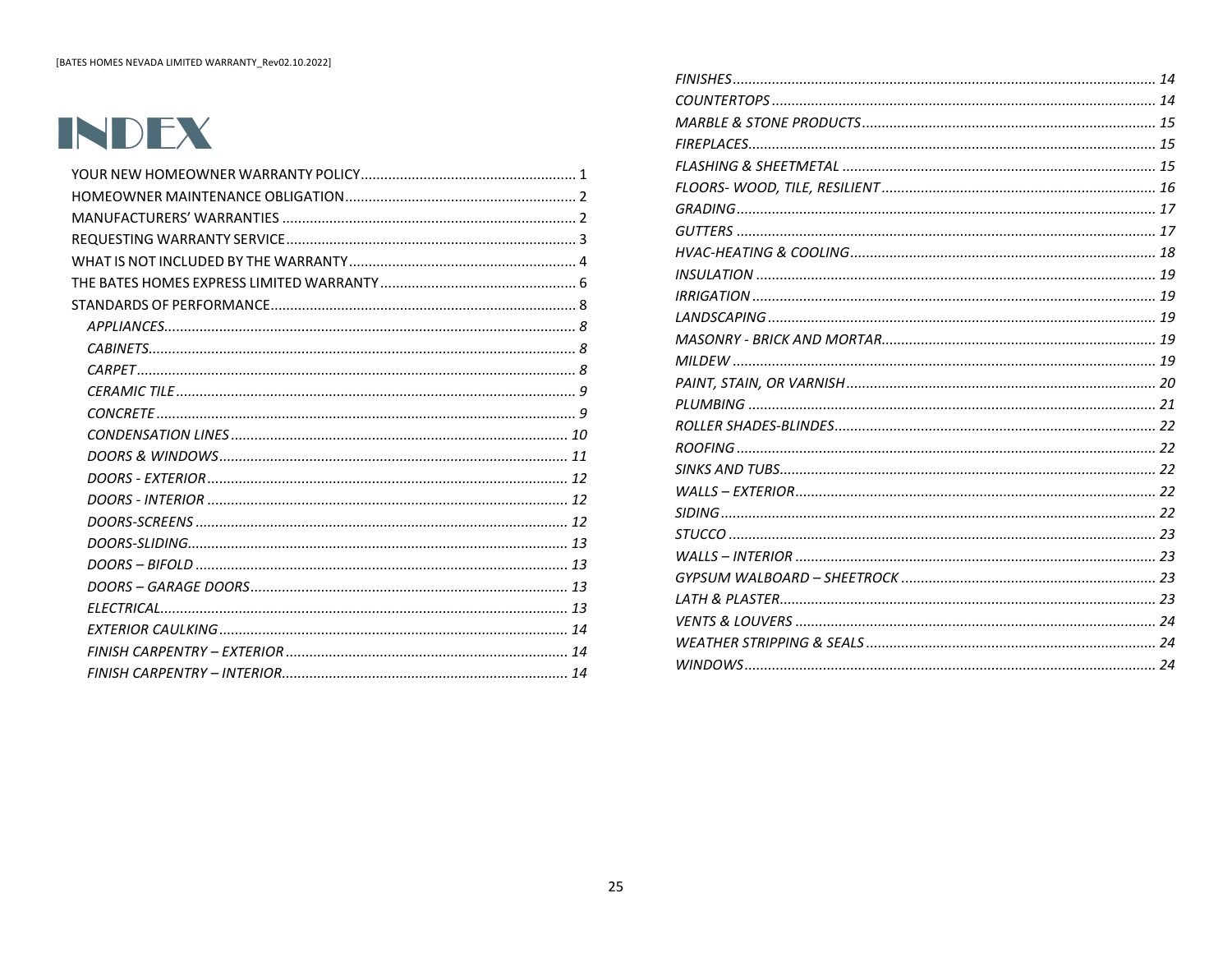[BATES HOMES NEVADA LIMITED WARRANTY\_Rev02.10.2022]

<span id="page-24-2"></span><span id="page-24-1"></span><span id="page-24-0"></span>

| <b>VENTS &amp; LOUVERS</b>           |                                                                                 |                                                    |
|--------------------------------------|---------------------------------------------------------------------------------|----------------------------------------------------|
| <b>CONDITION</b>                     | <b>BUILDER RESPONSIBILITY</b>                                                   | <b>HOMEOWNER RESPONSIBILITY</b>                    |
| Leaks into attic through louvers and | None.                                                                           |                                                    |
| vents.                               | Home must have vents and louvers for proper ventilation. Rain and snow will     |                                                    |
|                                      | sometimes come through these openings.                                          |                                                    |
| <b>WEATHER STRIPPING &amp; SEALS</b> |                                                                                 |                                                    |
| <b>CONDITION</b>                     | <b>BUILDER RESPONSIBILITY</b>                                                   | <b>HOMEOWNER RESPONSIBILITY</b>                    |
| Air leaking around doors &           | 1-Year-Warranty (One-Time-Only).                                                | Do not paint weather-stripping or remove any       |
| windows.                             | Some infiltration is normally noticeable around doors and windows,              | small felt pads which are attached to the doors or |
|                                      | especially during high winds. Excessive infiltration is not acceptable. Builder | door jambs. Weather-stripping may hum in high      |
|                                      | shall adjust or correct poorly fitted windows or doors, or poorly fitted        | winds, this is normal.                             |
|                                      | weather-stripping one-time-only during the Warranty Period.                     |                                                    |
| <b>WINDOWS</b>                       |                                                                                 |                                                    |
| (See "Doors & Windows"               |                                                                                 |                                                    |
|                                      |                                                                                 |                                                    |